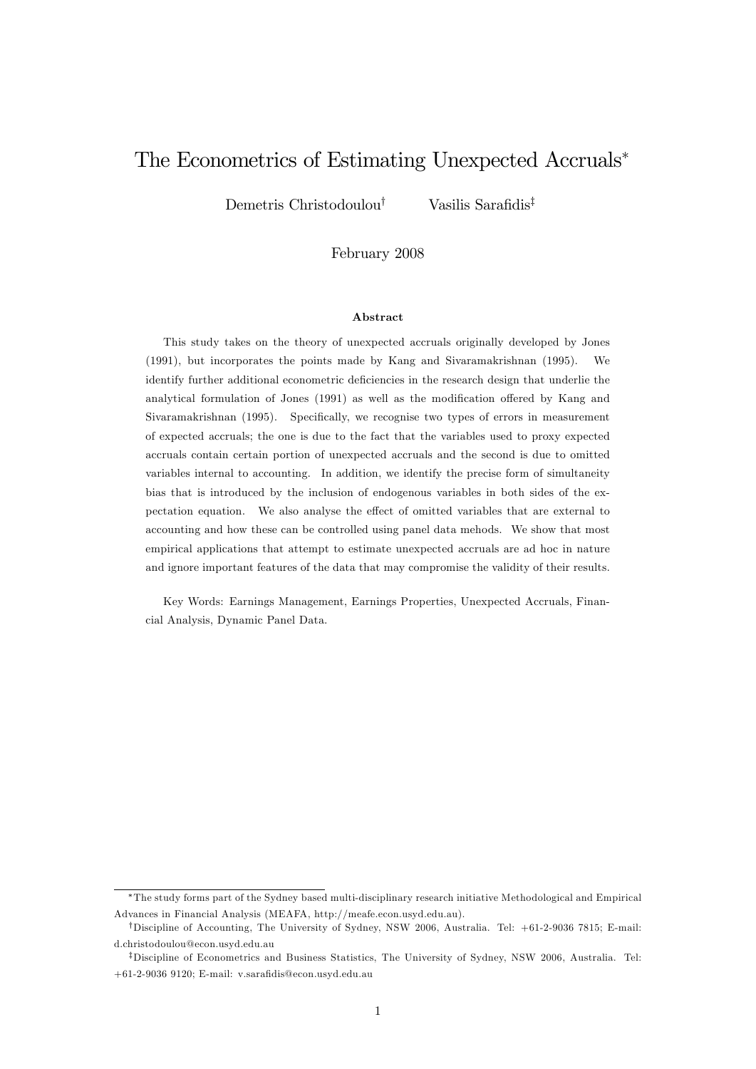# The Econometrics of Estimating Unexpected Accruals

Demetris Christodoulou<sup>†</sup> Vasilis Sarafidis<sup>‡</sup>

February 2008

#### Abstract

This study takes on the theory of unexpected accruals originally developed by Jones (1991), but incorporates the points made by Kang and Sivaramakrishnan (1995). We identify further additional econometric deficiencies in the research design that underlie the analytical formulation of Jones  $(1991)$  as well as the modification offered by Kang and Sivaramakrishnan (1995). Specifically, we recognise two types of errors in measurement of expected accruals; the one is due to the fact that the variables used to proxy expected accruals contain certain portion of unexpected accruals and the second is due to omitted variables internal to accounting. In addition, we identify the precise form of simultaneity bias that is introduced by the inclusion of endogenous variables in both sides of the expectation equation. We also analyse the effect of omitted variables that are external to accounting and how these can be controlled using panel data mehods. We show that most empirical applications that attempt to estimate unexpected accruals are ad hoc in nature and ignore important features of the data that may compromise the validity of their results.

Key Words: Earnings Management, Earnings Properties, Unexpected Accruals, Financial Analysis, Dynamic Panel Data.

The study forms part of the Sydney based multi-disciplinary research initiative Methodological and Empirical Advances in Financial Analysis (MEAFA, http://meafe.econ.usyd.edu.au).

<sup>&</sup>lt;sup>†</sup>Discipline of Accounting, The University of Sydney, NSW 2006, Australia. Tel: +61-2-9036 7815; E-mail: d.christodoulou@econ.usyd.edu.au

<sup>&</sup>lt;sup>‡</sup>Discipline of Econometrics and Business Statistics, The University of Sydney, NSW 2006, Australia. Tel:  $+61-2-9036$  9120; E-mail: v.sarafidis@econ.usyd.edu.au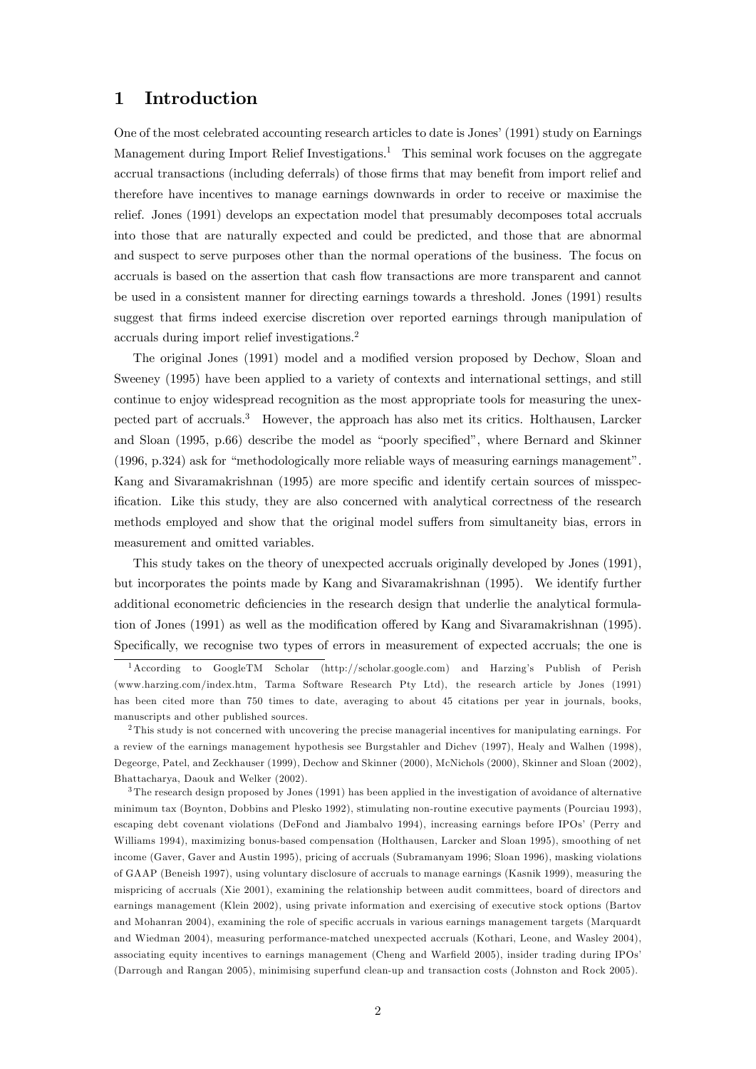### 1 Introduction

One of the most celebrated accounting research articles to date is Jones' (1991) study on Earnings Management during Import Relief Investigations.<sup>1</sup> This seminal work focuses on the aggregate accrual transactions (including deferrals) of those firms that may benefit from import relief and therefore have incentives to manage earnings downwards in order to receive or maximise the relief. Jones (1991) develops an expectation model that presumably decomposes total accruals into those that are naturally expected and could be predicted, and those that are abnormal and suspect to serve purposes other than the normal operations of the business. The focus on accruals is based on the assertion that cash flow transactions are more transparent and cannot be used in a consistent manner for directing earnings towards a threshold. Jones (1991) results suggest that firms indeed exercise discretion over reported earnings through manipulation of accruals during import relief investigations.<sup>2</sup>

The original Jones (1991) model and a modified version proposed by Dechow, Sloan and Sweeney (1995) have been applied to a variety of contexts and international settings, and still continue to enjoy widespread recognition as the most appropriate tools for measuring the unexpected part of accruals.<sup>3</sup> However, the approach has also met its critics. Holthausen, Larcker and Sloan  $(1995, p.66)$  describe the model as "poorly specified", where Bernard and Skinner  $(1996, p.324)$  ask for "methodologically more reliable ways of measuring earnings management". Kang and Sivaramakrishnan (1995) are more specific and identify certain sources of misspecification. Like this study, they are also concerned with analytical correctness of the research methods employed and show that the original model suffers from simultaneity bias, errors in measurement and omitted variables.

This study takes on the theory of unexpected accruals originally developed by Jones (1991), but incorporates the points made by Kang and Sivaramakrishnan (1995). We identify further additional econometric deficiencies in the research design that underlie the analytical formulation of Jones (1991) as well as the modification offered by Kang and Sivaramakrishnan (1995). Specifically, we recognise two types of errors in measurement of expected accruals; the one is

<sup>1</sup>According to GoogleTM Scholar (http://scholar.google.com) and Harzingís Publish of Perish (www.harzing.com/index.htm, Tarma Software Research Pty Ltd), the research article by Jones (1991) has been cited more than 750 times to date, averaging to about 45 citations per year in journals, books, manuscripts and other published sources.

<sup>2</sup> This study is not concerned with uncovering the precise managerial incentives for manipulating earnings. For a review of the earnings management hypothesis see Burgstahler and Dichev (1997), Healy and Walhen (1998), Degeorge, Patel, and Zeckhauser (1999), Dechow and Skinner (2000), McNichols (2000), Skinner and Sloan (2002), Bhattacharya, Daouk and Welker (2002).

<sup>&</sup>lt;sup>3</sup>The research design proposed by Jones (1991) has been applied in the investigation of avoidance of alternative minimum tax (Boynton, Dobbins and Plesko 1992), stimulating non-routine executive payments (Pourciau 1993), escaping debt covenant violations (DeFond and Jiambalvo 1994), increasing earnings before IPOs' (Perry and Williams 1994), maximizing bonus-based compensation (Holthausen, Larcker and Sloan 1995), smoothing of net income (Gaver, Gaver and Austin 1995), pricing of accruals (Subramanyam 1996; Sloan 1996), masking violations of GAAP (Beneish 1997), using voluntary disclosure of accruals to manage earnings (Kasnik 1999), measuring the mispricing of accruals (Xie 2001), examining the relationship between audit committees, board of directors and earnings management (Klein 2002), using private information and exercising of executive stock options (Bartov and Mohanran 2004), examining the role of specific accruals in various earnings management targets (Marquardt and Wiedman 2004), measuring performance-matched unexpected accruals (Kothari, Leone, and Wasley 2004), associating equity incentives to earnings management (Cheng and Warfield 2005), insider trading during IPOs<sup>7</sup> (Darrough and Rangan 2005), minimising superfund clean-up and transaction costs (Johnston and Rock 2005).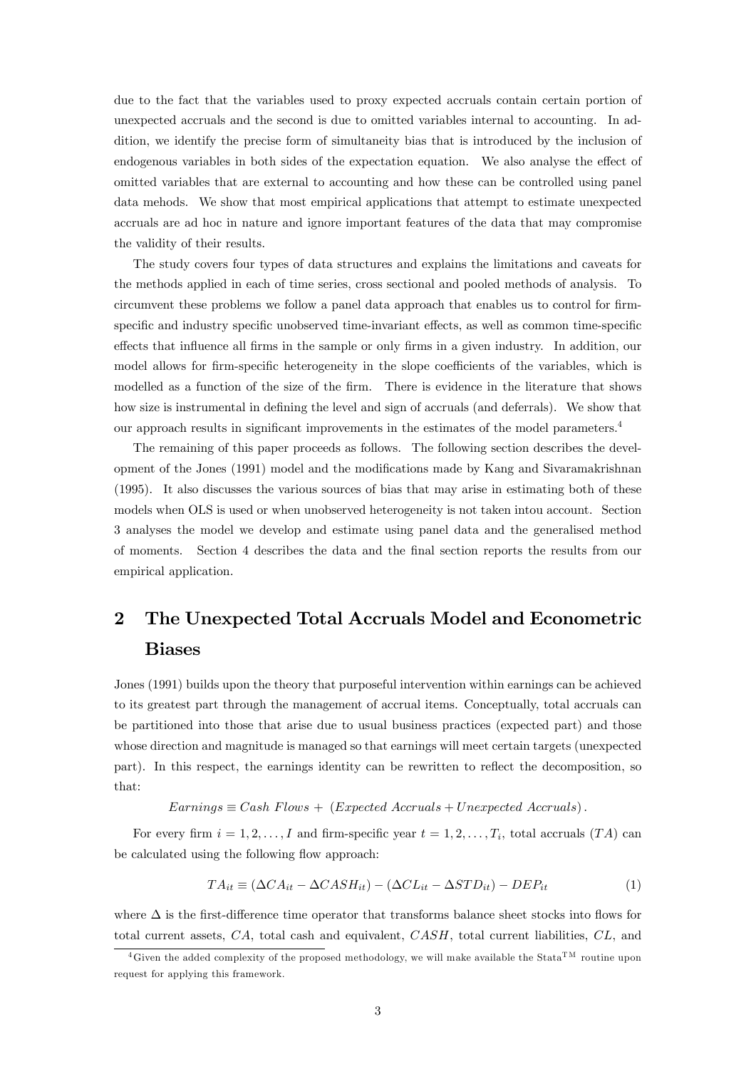due to the fact that the variables used to proxy expected accruals contain certain portion of unexpected accruals and the second is due to omitted variables internal to accounting. In addition, we identify the precise form of simultaneity bias that is introduced by the inclusion of endogenous variables in both sides of the expectation equation. We also analyse the effect of omitted variables that are external to accounting and how these can be controlled using panel data mehods. We show that most empirical applications that attempt to estimate unexpected accruals are ad hoc in nature and ignore important features of the data that may compromise the validity of their results.

The study covers four types of data structures and explains the limitations and caveats for the methods applied in each of time series, cross sectional and pooled methods of analysis. To circumvent these problems we follow a panel data approach that enables us to control for firmspecific and industry specific unobserved time-invariant effects, as well as common time-specific effects that influence all firms in the sample or only firms in a given industry. In addition, our model allows for firm-specific heterogeneity in the slope coefficients of the variables, which is modelled as a function of the size of the firm. There is evidence in the literature that shows how size is instrumental in defining the level and sign of accruals (and deferrals). We show that our approach results in significant improvements in the estimates of the model parameters.<sup>4</sup>

The remaining of this paper proceeds as follows. The following section describes the development of the Jones (1991) model and the modifications made by Kang and Sivaramakrishnan (1995). It also discusses the various sources of bias that may arise in estimating both of these models when OLS is used or when unobserved heterogeneity is not taken intou account. Section 3 analyses the model we develop and estimate using panel data and the generalised method of moments. Section 4 describes the data and the Önal section reports the results from our empirical application.

# 2 The Unexpected Total Accruals Model and Econometric Biases

Jones (1991) builds upon the theory that purposeful intervention within earnings can be achieved to its greatest part through the management of accrual items. Conceptually, total accruals can be partitioned into those that arise due to usual business practices (expected part) and those whose direction and magnitude is managed so that earnings will meet certain targets (unexpected part). In this respect, the earnings identity can be rewritten to reflect the decomposition, so that:

 $EarningS \equiv Cash \ Flows + (Expected \ Accruals + Unexpected \ Accruals).$ 

For every firm  $i = 1, 2, \ldots, I$  and firm-specific year  $t = 1, 2, \ldots, T_i$ , total accruals  $(TA)$  can be calculated using the following flow approach:

$$
TA_{it} \equiv (\Delta CA_{it} - \Delta CASH_{it}) - (\Delta CL_{it} - \Delta STD_{it}) - DEP_{it}
$$
\n(1)

where  $\Delta$  is the first-difference time operator that transforms balance sheet stocks into flows for total current assets, CA, total cash and equivalent, CASH, total current liabilities, CL, and

<sup>&</sup>lt;sup>4</sup>Given the added complexity of the proposed methodology, we will make available the Stata<sup>TM</sup> routine upon request for applying this framework.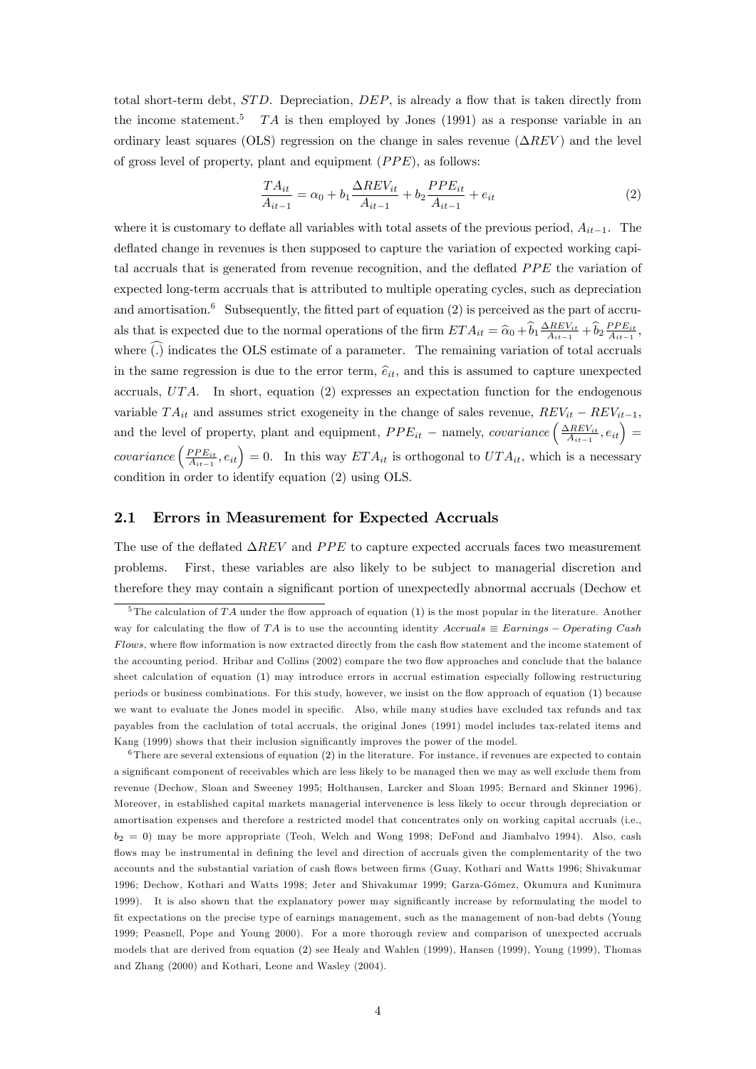total short-term debt,  $STD$ . Depreciation,  $DEF$ , is already a flow that is taken directly from the income statement.<sup>5</sup> TA is then employed by Jones (1991) as a response variable in an ordinary least squares (OLS) regression on the change in sales revenue ( $\Delta REV$ ) and the level of gross level of property, plant and equipment  $(PPE)$ , as follows:

$$
\frac{TA_{it}}{A_{it-1}} = \alpha_0 + b_1 \frac{\Delta REV_{it}}{A_{it-1}} + b_2 \frac{PPE_{it}}{A_{it-1}} + e_{it}
$$
\n(2)

where it is customary to deflate all variables with total assets of the previous period,  $A_{it-1}$ . The deflated change in revenues is then supposed to capture the variation of expected working capital accruals that is generated from revenue recognition, and the deflated  $PPE$  the variation of expected long-term accruals that is attributed to multiple operating cycles, such as depreciation and amortisation.<sup>6</sup> Subsequently, the fitted part of equation  $(2)$  is perceived as the part of accruals that is expected due to the normal operations of the firm  $ETA_{it} = \hat{\alpha}_0 + \hat{b}_1 \frac{\Delta REV_{it}}{A_{it-1}} + \hat{b}_2 \frac{PPE_{it}}{A_{it-1}},$ where  $\tilde{(.)}$  indicates the OLS estimate of a parameter. The remaining variation of total accruals in the same regression is due to the error term,  $\hat{e}_{it}$ , and this is assumed to capture unexpected accruals,  $UTA$ . In short, equation (2) expresses an expectation function for the endogenous variable  $TA_{it}$  and assumes strict exogeneity in the change of sales revenue,  $REV_{it} - REV_{it-1}$ , and the level of property, plant and equipment,  $PPE_{it}$  – namely, *covariance*  $\left(\frac{\Delta REV_{it}}{A_{it-1}}, e_{it}\right)$  = covariance  $\left(\frac{PPE_{it}}{A_{it-1}}, e_{it}\right) = 0$ . In this way  $ETA_{it}$  is orthogonal to  $UTA_{it}$ , which is a necessary condition in order to identify equation (2) using OLS.

#### 2.1 Errors in Measurement for Expected Accruals

The use of the deflated  $\Delta REV$  and PPE to capture expected accruals faces two measurement problems. First, these variables are also likely to be subject to managerial discretion and therefore they may contain a significant portion of unexpectedly abnormal accruals (Dechow et

 $\overline{5}$ The calculation of TA under the flow approach of equation (1) is the most popular in the literature. Another way for calculating the flow of TA is to use the accounting identity Accruals  $\equiv$  Earnings  $-$  Operating Cash Flows, where flow information is now extracted directly from the cash flow statement and the income statement of the accounting period. Hribar and Collins (2002) compare the two flow approaches and conclude that the balance sheet calculation of equation (1) may introduce errors in accrual estimation especially following restructuring periods or business combinations. For this study, however, we insist on the áow approach of equation (1) because we want to evaluate the Jones model in specific. Also, while many studies have excluded tax refunds and tax payables from the caclulation of total accruals, the original Jones (1991) model includes tax-related items and Kang (1999) shows that their inclusion significantly improves the power of the model.

 $6$ There are several extensions of equation  $(2)$  in the literature. For instance, if revenues are expected to contain a significant component of receivables which are less likely to be managed then we may as well exclude them from revenue (Dechow, Sloan and Sweeney 1995; Holthausen, Larcker and Sloan 1995; Bernard and Skinner 1996). Moreover, in established capital markets managerial intervenence is less likely to occur through depreciation or amortisation expenses and therefore a restricted model that concentrates only on working capital accruals (i.e.,  $b_2 = 0$ ) may be more appropriate (Teoh, Welch and Wong 1998; DeFond and Jiambalvo 1994). Also, cash flows may be instrumental in defining the level and direction of accruals given the complementarity of the two accounts and the substantial variation of cash flows between firms (Guay, Kothari and Watts 1996; Shivakumar 1996; Dechow, Kothari and Watts 1998; Jeter and Shivakumar 1999; Garza-Gómez, Okumura and Kunimura 1999). It is also shown that the explanatory power may significantly increase by reformulating the model to Öt expectations on the precise type of earnings management, such as the management of non-bad debts (Young 1999; Peasnell, Pope and Young 2000). For a more thorough review and comparison of unexpected accruals models that are derived from equation (2) see Healy and Wahlen (1999), Hansen (1999), Young (1999), Thomas and Zhang (2000) and Kothari, Leone and Wasley (2004).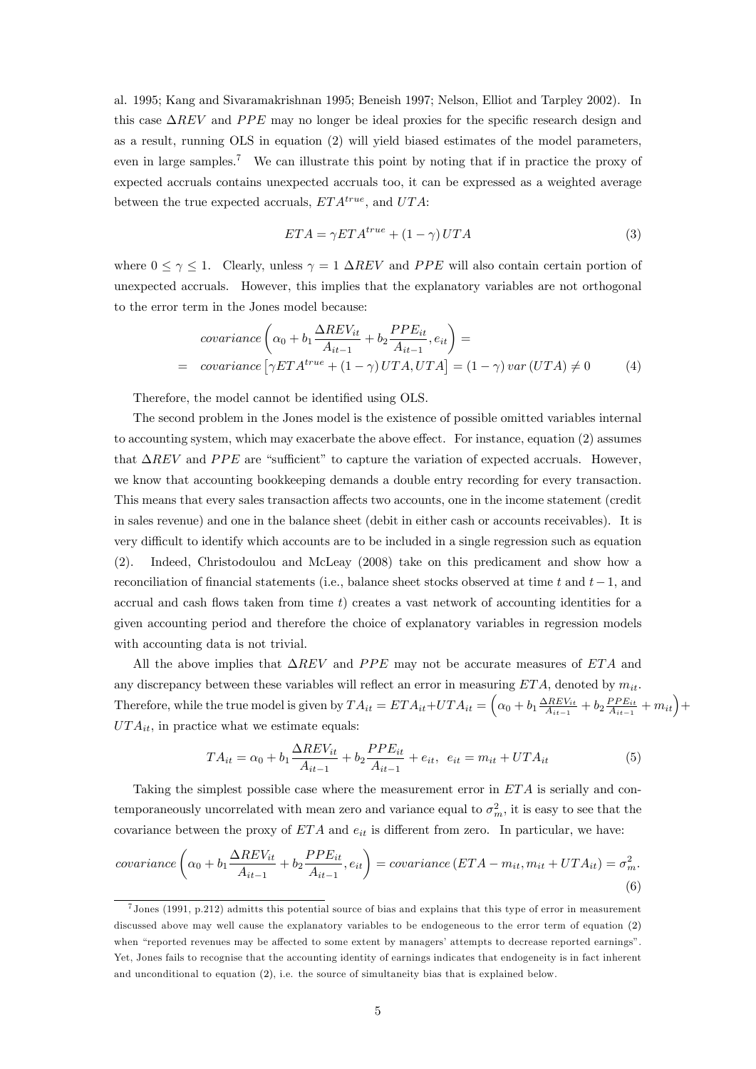al. 1995; Kang and Sivaramakrishnan 1995; Beneish 1997; Nelson, Elliot and Tarpley 2002). In this case  $\Delta REV$  and  $PPE$  may no longer be ideal proxies for the specific research design and as a result, running OLS in equation (2) will yield biased estimates of the model parameters, even in large samples.<sup>7</sup> We can illustrate this point by noting that if in practice the proxy of expected accruals contains unexpected accruals too, it can be expressed as a weighted average between the true expected accruals,  $ETA^{true}$ , and  $UTA$ :

$$
ETA = \gamma ETA^{true} + (1 - \gamma) UTA \tag{3}
$$

where  $0 \le \gamma \le 1$ . Clearly, unless  $\gamma = 1 \Delta REV$  and PPE will also contain certain portion of unexpected accruals. However, this implies that the explanatory variables are not orthogonal to the error term in the Jones model because:

$$
covariance \left( \alpha_0 + b_1 \frac{\Delta REV_{it}}{A_{it-1}} + b_2 \frac{PPE_{it}}{A_{it-1}}, e_{it} \right) =
$$
  
= covariance \left[ \gamma ETA^{true} + (1 - \gamma) UTA, UTA \right] = (1 - \gamma) var (UTA) \neq 0 (4)

Therefore, the model cannot be identified using OLS.

The second problem in the Jones model is the existence of possible omitted variables internal to accounting system, which may exacerbate the above effect. For instance, equation  $(2)$  assumes that  $\Delta REV$  and  $PPE$  are "sufficient" to capture the variation of expected accruals. However, we know that accounting bookkeeping demands a double entry recording for every transaction. This means that every sales transaction affects two accounts, one in the income statement (credit in sales revenue) and one in the balance sheet (debit in either cash or accounts receivables). It is very difficult to identify which accounts are to be included in a single regression such as equation (2). Indeed, Christodoulou and McLeay (2008) take on this predicament and show how a reconciliation of financial statements (i.e., balance sheet stocks observed at time t and  $t-1$ , and accrual and cash flows taken from time  $t$ ) creates a vast network of accounting identities for a given accounting period and therefore the choice of explanatory variables in regression models with accounting data is not trivial.

All the above implies that  $\Delta REV$  and  $PPE$  may not be accurate measures of  $ETA$  and any discrepancy between these variables will reflect an error in measuring  $ETA$ , denoted by  $m_{it}$ . Therefore, while the true model is given by  $TA_{it} = ETA_{it} + UTA_{it} = \left(\alpha_0 + b_1 \frac{\Delta REV_{it}}{A_{it-1}} + b_2 \frac{PPE_{it}}{A_{it-1}} + m_{it}\right) +$  $UTA_{it}$ , in practice what we estimate equals:

$$
TA_{it} = \alpha_0 + b_1 \frac{\Delta REV_{it}}{A_{it-1}} + b_2 \frac{PPE_{it}}{A_{it-1}} + e_{it}, \ e_{it} = m_{it} + UTA_{it}
$$
(5)

Taking the simplest possible case where the measurement error in ET A is serially and contemporaneously uncorrelated with mean zero and variance equal to  $\sigma_m^2$ , it is easy to see that the covariance between the proxy of  $ETA$  and  $e_{it}$  is different from zero. In particular, we have:

$$
covariance\left(\alpha_0 + b_1 \frac{\Delta REV_{it}}{A_{it-1}} + b_2 \frac{PPE_{it}}{A_{it-1}}, e_{it}\right) = covariance\left(ETA - m_{it}, m_{it} + UTA_{it}\right) = \sigma_m^2.
$$
\n(6)

<sup>7</sup> Jones (1991, p.212) admitts this potential source of bias and explains that this type of error in measurement discussed above may well cause the explanatory variables to be endogeneous to the error term of equation (2) when "reported revenues may be affected to some extent by managers' attempts to decrease reported earnings". Yet, Jones fails to recognise that the accounting identity of earnings indicates that endogeneity is in fact inherent and unconditional to equation (2), i.e. the source of simultaneity bias that is explained below.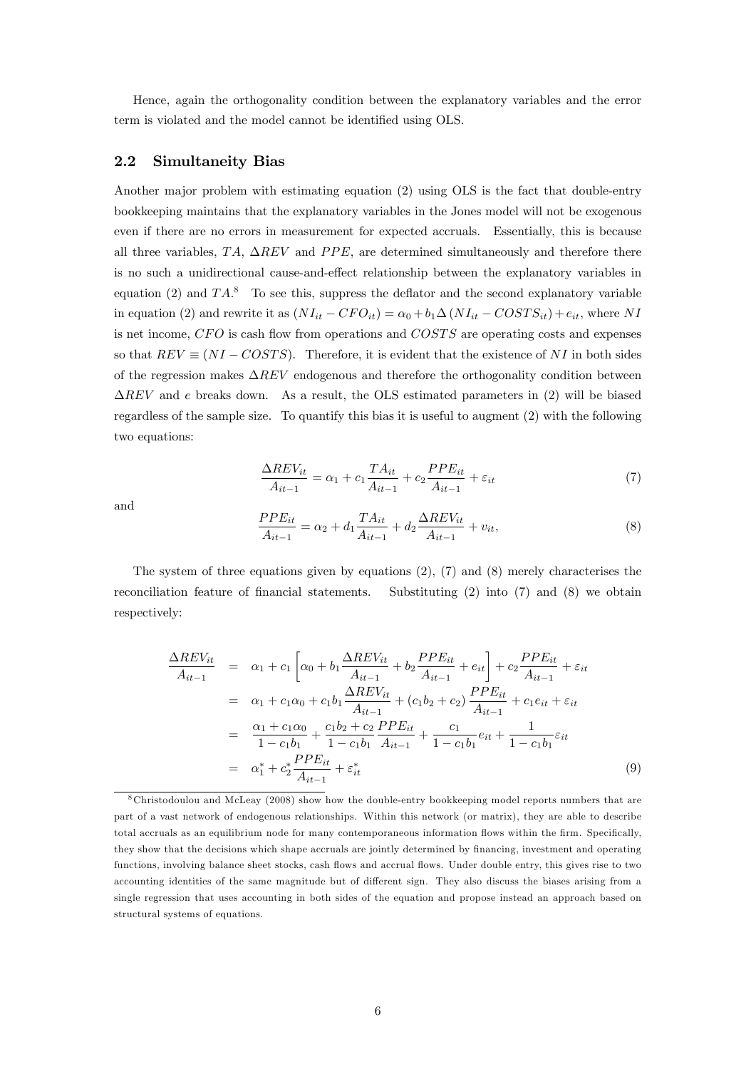Hence, again the orthogonality condition between the explanatory variables and the error term is violated and the model cannot be identified using OLS.

#### $2.2$ **Simultaneity Bias**

Another major problem with estimating equation (2) using OLS is the fact that double-entry bookkeeping maintains that the explanatory variables in the Jones model will not be exogenous even if there are no errors in measurement for expected accruals. Essentially, this is because all three variables, TA,  $\Delta REV$  and PPE, are determined simultaneously and therefore there is no such a unidirectional cause-and-effect relationship between the explanatory variables in equation (2) and  $TA^8$ . To see this, suppress the deflator and the second explanatory variable in equation (2) and rewrite it as  $(NI_{it} - CFO_{it}) = \alpha_0 + b_1\Delta (NI_{it} - COSTS_{it}) + e_{it}$ , where NI is net income,  $CFO$  is cash flow from operations and  $COSTS$  are operating costs and expenses so that  $REV \equiv (NI-COSTS)$ . Therefore, it is evident that the existence of NI in both sides of the regression makes  $\Delta REV$  endogenous and therefore the orthogonality condition between  $\Delta REV$  and e breaks down. As a result, the OLS estimated parameters in (2) will be biased regardless of the sample size. To quantify this bias it is useful to augment (2) with the following two equations:

$$
\frac{\Delta REV_{it}}{A_{it-1}} = \alpha_1 + c_1 \frac{TA_{it}}{A_{it-1}} + c_2 \frac{PPE_{it}}{A_{it-1}} + \varepsilon_{it}
$$
\n(7)

and

$$
\frac{PPE_{it}}{A_{it-1}} = \alpha_2 + d_1 \frac{TA_{it}}{A_{it-1}} + d_2 \frac{\Delta REV_{it}}{A_{it-1}} + v_{it},\tag{8}
$$

The system of three equations given by equations  $(2)$ ,  $(7)$  and  $(8)$  merely characterises the reconciliation feature of financial statements. Substituting  $(2)$  into  $(7)$  and  $(8)$  we obtain respectively:

$$
\frac{\Delta REV_{it}}{A_{it-1}} = \alpha_1 + c_1 \left[ \alpha_0 + b_1 \frac{\Delta REV_{it}}{A_{it-1}} + b_2 \frac{PPE_{it}}{A_{it-1}} + e_{it} \right] + c_2 \frac{PPE_{it}}{A_{it-1}} + \varepsilon_{it}
$$
\n
$$
= \alpha_1 + c_1 \alpha_0 + c_1 b_1 \frac{\Delta REV_{it}}{A_{it-1}} + (c_1 b_2 + c_2) \frac{PPE_{it}}{A_{it-1}} + c_1 e_{it} + \varepsilon_{it}
$$
\n
$$
= \frac{\alpha_1 + c_1 \alpha_0}{1 - c_1 b_1} + \frac{c_1 b_2 + c_2}{1 - c_1 b_1} \frac{PPE_{it}}{A_{it-1}} + \frac{c_1}{1 - c_1 b_1} e_{it} + \frac{1}{1 - c_1 b_1} \varepsilon_{it}
$$
\n
$$
= \alpha_1^* + c_2^* \frac{PPE_{it}}{A_{it-1}} + \varepsilon_{it}^* \tag{9}
$$

<sup>8</sup>Christodoulou and McLeay (2008) show how the double-entry bookkeeping model reports numbers that are part of a vast network of endogenous relationships. Within this network (or matrix), they are able to describe total accruals as an equilibrium node for many contemporaneous information flows within the firm. Specifically, they show that the decisions which shape accruals are jointly determined by financing, investment and operating functions, involving balance sheet stocks, cash flows and accrual flows. Under double entry, this gives rise to two accounting identities of the same magnitude but of different sign. They also discuss the biases arising from a single regression that uses accounting in both sides of the equation and propose instead an approach based on structural systems of equations.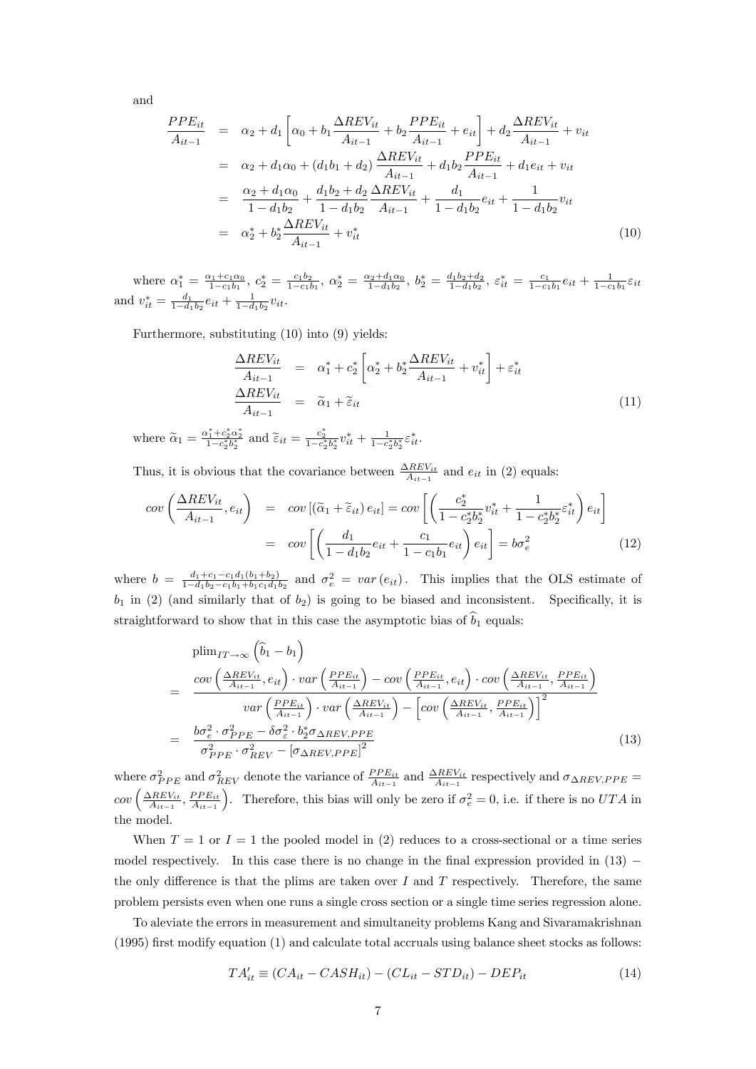and

$$
\frac{PPE_{it}}{A_{it-1}} = \alpha_2 + d_1 \left[ \alpha_0 + b_1 \frac{\Delta REV_{it}}{A_{it-1}} + b_2 \frac{PPE_{it}}{A_{it-1}} + e_{it} \right] + d_2 \frac{\Delta REV_{it}}{A_{it-1}} + v_{it}
$$
\n
$$
= \alpha_2 + d_1 \alpha_0 + (d_1 b_1 + d_2) \frac{\Delta REV_{it}}{A_{it-1}} + d_1 b_2 \frac{PPE_{it}}{A_{it-1}} + d_1 e_{it} + v_{it}
$$
\n
$$
= \frac{\alpha_2 + d_1 \alpha_0}{1 - d_1 b_2} + \frac{d_1 b_2 + d_2}{1 - d_1 b_2} \frac{\Delta REV_{it}}{A_{it-1}} + \frac{d_1}{1 - d_1 b_2} e_{it} + \frac{1}{1 - d_1 b_2} v_{it}
$$
\n
$$
= \alpha_2^* + b_2^* \frac{\Delta REV_{it}}{A_{it-1}} + v_{it}^*
$$
\n(10)

where  $\alpha_1^* = \frac{\alpha_1 + c_1 \alpha_0}{1 - c_1 b_1}$ ,  $c_2^* = \frac{c_1 b_2}{1 - c_1 b_1}$ ,  $\alpha_2^* = \frac{\alpha_2 + d_1 \alpha_0}{1 - d_1 b_2}$ ,  $b_2^* = \frac{d_1 b_2 + d_2}{1 - d_1 b_2}$ ,  $\varepsilon_{it}^* = \frac{c_1}{1 - c_1 b_1} e_{it} + \frac{1}{1 - c_1 b_1} \varepsilon_{it}$ <br>and  $v_{it}^* = \frac{d_1}{1 - d_1 b_2} e$ 

Furthermore, substituting  $(10)$  into  $(9)$  yields:

$$
\frac{\Delta REV_{it}}{A_{it-1}} = \alpha_1^* + c_2^* \left[ \alpha_2^* + b_2^* \frac{\Delta REV_{it}}{A_{it-1}} + v_{it}^* \right] + \varepsilon_{it}^* \n\frac{\Delta REV_{it}}{A_{it-1}} = \tilde{\alpha}_1 + \tilde{\varepsilon}_{it}
$$
\n(11)

where  $\widetilde{\alpha}_1 = \frac{\alpha_1^* + c_2^* \alpha_2^*}{1 - c_2^* b_2^*}$  and  $\widetilde{\varepsilon}_{it} = \frac{c_2^*}{1 - c_2^* b_2^*} v_{it}^* + \frac{1}{1 - c_2^* b_2^*} \varepsilon_{it}^*$ .

Thus, it is obvious that the covariance between  $\frac{\Delta REV_{it}}{A_{it-1}}$  and  $e_{it}$  in (2) equals:

$$
cov\left(\frac{\Delta REV_{it}}{A_{it-1}}, e_{it}\right) = cov\left[(\tilde{\alpha}_1 + \tilde{\varepsilon}_{it}) e_{it}\right] = cov\left[\left(\frac{c_2^*}{1 - c_2^*b_2^*}v_{it}^* + \frac{1}{1 - c_2^*b_2^*}\varepsilon_{it}^*\right)e_{it}\right]
$$

$$
= cov\left[\left(\frac{d_1}{1 - d_1b_2}e_{it} + \frac{c_1}{1 - c_1b_1}e_{it}\right)e_{it}\right] = b\sigma_e^2
$$
(12)

where  $b = \frac{d_1 + c_1 - c_1 d_1 (b_1 + b_2)}{1 - d_1 b_2 - c_1 b_1 + b_1 c_1 d_1 b_2}$  and  $\sigma_e^2 = var(e_{it})$ . This implies that the OLS estimate of  $b_1$  in (2) (and similarly that of  $b_2$ ) is going to be biased and inconsistent. Specifically, it is straightforward to show that in this case the asymptotic bias of  $\hat{b}_1$  equals:

$$
\begin{split}\n&\text{plim}_{IT \to \infty} \left( \hat{b}_1 - b_1 \right) \\
&= \frac{\text{cov}\left( \frac{\Delta REV_{it}}{A_{it-1}}, e_{it} \right) \cdot \text{var}\left( \frac{PPE_{it}}{A_{it-1}} \right) - \text{cov}\left( \frac{PPE_{it}}{A_{it-1}}, e_{it} \right) \cdot \text{cov}\left( \frac{\Delta REV_{it}}{A_{it-1}}, \frac{PPE_{it}}{A_{it-1}} \right)}{\text{var}\left( \frac{PPE_{it}}{A_{it-1}} \right) \cdot \text{var}\left( \frac{\Delta REV_{it}}{A_{it-1}} \right) - \left[ \text{cov}\left( \frac{\Delta REV_{it}}{A_{it-1}}, \frac{PPE_{it}}{A_{it-1}} \right) \right]^2} \\
&= \frac{b\sigma_e^2 \cdot \sigma_{PPE}^2 - \delta \sigma_e^2 \cdot b_2^* \sigma_{\Delta REV, PPE}}{\sigma_{PPE}^2 \cdot \sigma_{REV}^2 - \left[ \sigma_{\Delta REV, PPE} \right]^2}\n\end{split} \tag{13}
$$

where  $\sigma_{PPE}^2$  and  $\sigma_{REV}^2$  denote the variance of  $\frac{PPE_{it}}{A_{it-1}}$  and  $\frac{\Delta REV_{it}}{A_{it-1}}$  respectively and  $\sigma_{\Delta REV, PPE}$  $cov\left(\frac{\Delta REV_{it}}{A_{it-1}}, \frac{PPE_{it}}{A_{it-1}}\right)$ . Therefore, this bias will only be zero if  $\sigma_e^2 = 0$ , i.e. if there is no  $UTA$  in the model.

When  $T = 1$  or  $I = 1$  the pooled model in (2) reduces to a cross-sectional or a time series model respectively. In this case there is no change in the final expression provided in  $(13)$ the only difference is that the plims are taken over  $I$  and  $T$  respectively. Therefore, the same problem persists even when one runs a single cross section or a single time series regression alone.

To aleviate the errors in measurement and simultaneity problems Kang and Sivaramakrishnan  $(1995)$  first modify equation  $(1)$  and calculate total accruals using balance sheet stocks as follows:

$$
TA'_{it} \equiv (CA_{it} - CASH_{it}) - (CL_{it} - STD_{it}) - DEP_{it}
$$
\n
$$
(14)
$$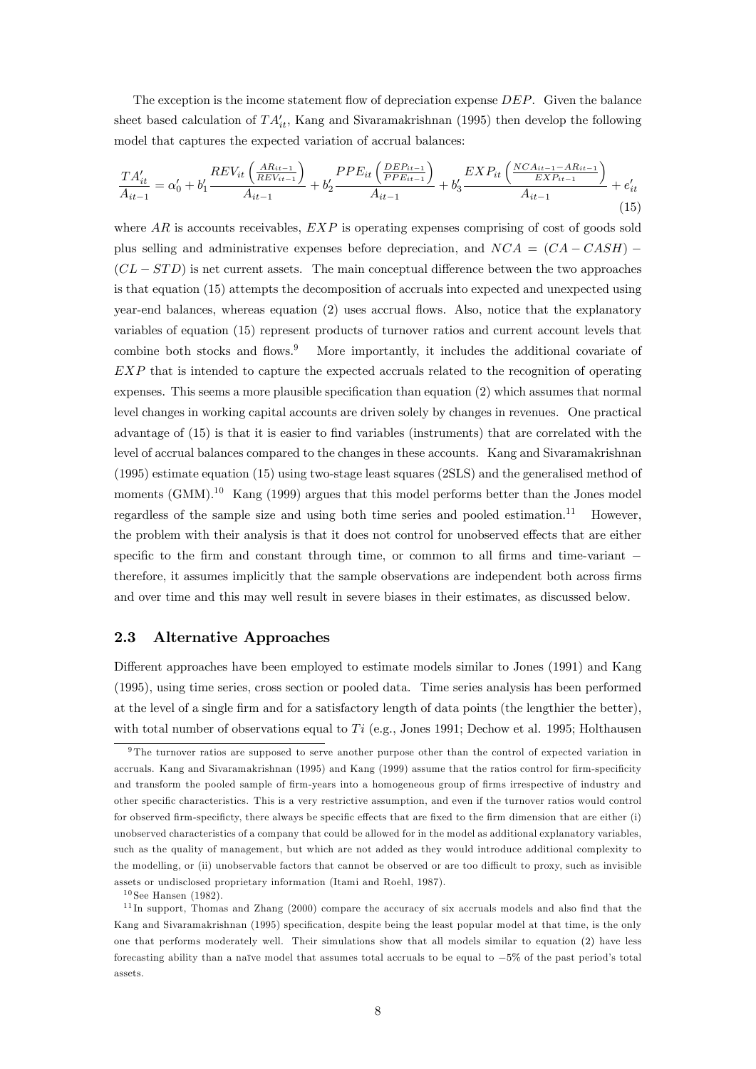The exception is the income statement flow of depreciation expense  $DEF$ . Given the balance sheet based calculation of  $TA'_{it}$ , Kang and Sivaramakrishnan (1995) then develop the following model that captures the expected variation of accrual balances:

$$
\frac{TA'_{it}}{A_{it-1}} = \alpha'_{0} + b'_{1} \frac{REV_{it}\left(\frac{AR_{it-1}}{REV_{it-1}}\right)}{A_{it-1}} + b'_{2} \frac{PPE_{it}\left(\frac{DEP_{it-1}}{PPE_{it-1}}\right)}{A_{it-1}} + b'_{3} \frac{EXP_{it}\left(\frac{NCA_{it-1}-AR_{it-1}}{EXP_{it-1}}\right)}{A_{it-1}} + e'_{it}
$$
\n(15)

where  $AR$  is accounts receivables,  $EXP$  is operating expenses comprising of cost of goods sold plus selling and administrative expenses before depreciation, and  $NCA = (CA - CASH)$  $(CL - STD)$  is net current assets. The main conceptual difference between the two approaches is that equation (15) attempts the decomposition of accruals into expected and unexpected using year-end balances, whereas equation (2) uses accrual flows. Also, notice that the explanatory variables of equation (15) represent products of turnover ratios and current account levels that combine both stocks and flows.<sup>9</sup> More importantly, it includes the additional covariate of  $EXP$  that is intended to capture the expected accruals related to the recognition of operating expenses. This seems a more plausible specification than equation  $(2)$  which assumes that normal level changes in working capital accounts are driven solely by changes in revenues. One practical advantage of  $(15)$  is that it is easier to find variables (instruments) that are correlated with the level of accrual balances compared to the changes in these accounts. Kang and Sivaramakrishnan (1995) estimate equation (15) using two-stage least squares (2SLS) and the generalised method of moments  $(GMM)^{10}$  Kang  $(1999)$  argues that this model performs better than the Jones model regardless of the sample size and using both time series and pooled estimation.<sup>11</sup> However, the problem with their analysis is that it does not control for unobserved effects that are either specific to the firm and constant through time, or common to all firms and time-variant  $$ therefore, it assumes implicitly that the sample observations are independent both across firms and over time and this may well result in severe biases in their estimates, as discussed below.

#### 2.3 Alternative Approaches

Different approaches have been employed to estimate models similar to Jones (1991) and Kang (1995), using time series, cross section or pooled data. Time series analysis has been performed at the level of a single firm and for a satisfactory length of data points (the lengthier the better), with total number of observations equal to  $Ti$  (e.g., Jones 1991; Dechow et al. 1995; Holthausen

<sup>&</sup>lt;sup>9</sup>The turnover ratios are supposed to serve another purpose other than the control of expected variation in accruals. Kang and Sivaramakrishnan (1995) and Kang (1999) assume that the ratios control for firm-specificity and transform the pooled sample of firm-years into a homogeneous group of firms irrespective of industry and other specific characteristics. This is a very restrictive assumption, and even if the turnover ratios would control for observed firm-specificty, there always be specific effects that are fixed to the firm dimension that are either (i) unobserved characteristics of a company that could be allowed for in the model as additional explanatory variables, such as the quality of management, but which are not added as they would introduce additional complexity to the modelling, or (ii) unobservable factors that cannot be observed or are too difficult to proxy, such as invisible assets or undisclosed proprietary information (Itami and Roehl, 1987).

 $10$  See Hansen (1982).

 $11$ In support, Thomas and Zhang (2000) compare the accuracy of six accruals models and also find that the Kang and Sivaramakrishnan (1995) specification, despite being the least popular model at that time, is the only one that performs moderately well. Their simulations show that all models similar to equation (2) have less forecasting ability than a naïve model that assumes total accruals to be equal to  $-5\%$  of the past period's total assets.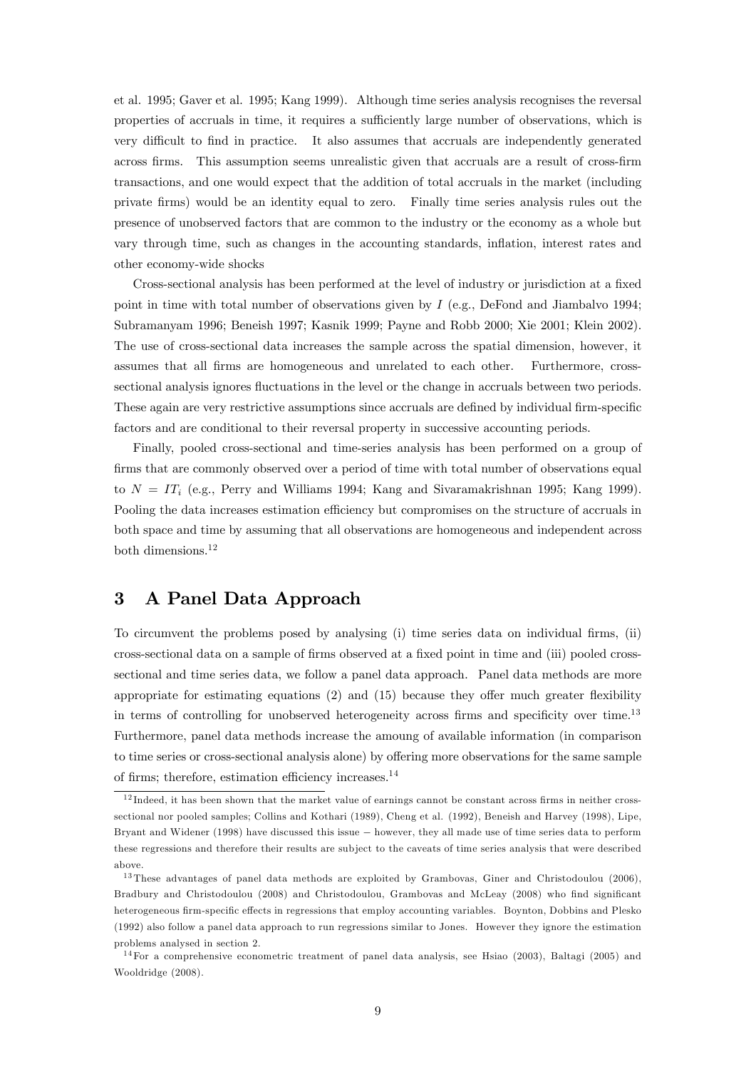et al. 1995; Gaver et al. 1995; Kang 1999). Although time series analysis recognises the reversal properties of accruals in time, it requires a sufficiently large number of observations, which is very difficult to find in practice. It also assumes that accruals are independently generated across Örms. This assumption seems unrealistic given that accruals are a result of cross-Örm transactions, and one would expect that the addition of total accruals in the market (including private Örms) would be an identity equal to zero. Finally time series analysis rules out the presence of unobserved factors that are common to the industry or the economy as a whole but vary through time, such as changes in the accounting standards, inflation, interest rates and other economy-wide shocks

Cross-sectional analysis has been performed at the level of industry or jurisdiction at a fixed point in time with total number of observations given by I (e.g., DeFond and Jiambalvo 1994; Subramanyam 1996; Beneish 1997; Kasnik 1999; Payne and Robb 2000; Xie 2001; Klein 2002). The use of cross-sectional data increases the sample across the spatial dimension, however, it assumes that all Örms are homogeneous and unrelated to each other. Furthermore, crosssectional analysis ignores fluctuations in the level or the change in accruals between two periods. These again are very restrictive assumptions since accruals are defined by individual firm-specific factors and are conditional to their reversal property in successive accounting periods.

Finally, pooled cross-sectional and time-series analysis has been performed on a group of firms that are commonly observed over a period of time with total number of observations equal to  $N = IT_i$  (e.g., Perry and Williams 1994; Kang and Sivaramakrishnan 1995; Kang 1999). Pooling the data increases estimation efficiency but compromises on the structure of accruals in both space and time by assuming that all observations are homogeneous and independent across both dimensions.<sup>12</sup>

#### 3 A Panel Data Approach

To circumvent the problems posed by analysing (i) time series data on individual firms, (ii) cross-sectional data on a sample of firms observed at a fixed point in time and (iii) pooled crosssectional and time series data, we follow a panel data approach. Panel data methods are more appropriate for estimating equations  $(2)$  and  $(15)$  because they offer much greater flexibility in terms of controlling for unobserved heterogeneity across firms and specificity over time.<sup>13</sup> Furthermore, panel data methods increase the amoung of available information (in comparison to time series or cross-sectional analysis alone) by offering more observations for the same sample of firms; therefore, estimation efficiency increases. $^{14}$ 

 $12$  Indeed, it has been shown that the market value of earnings cannot be constant across firms in neither crosssectional nor pooled samples; Collins and Kothari (1989), Cheng et al. (1992), Beneish and Harvey (1998), Lipe, Bryant and Widener (1998) have discussed this issue however, they all made use of time series data to perform these regressions and therefore their results are sub ject to the caveats of time series analysis that were described above.

<sup>&</sup>lt;sup>13</sup> These advantages of panel data methods are exploited by Grambovas, Giner and Christodoulou (2006), Bradbury and Christodoulou (2008) and Christodoulou, Grambovas and McLeay (2008) who find significant heterogeneous firm-specific effects in regressions that employ accounting variables. Boynton, Dobbins and Plesko (1992) also follow a panel data approach to run regressions similar to Jones. However they ignore the estimation problems analysed in section 2.

<sup>&</sup>lt;sup>14</sup>For a comprehensive econometric treatment of panel data analysis, see Hsiao (2003), Baltagi (2005) and Wooldridge (2008).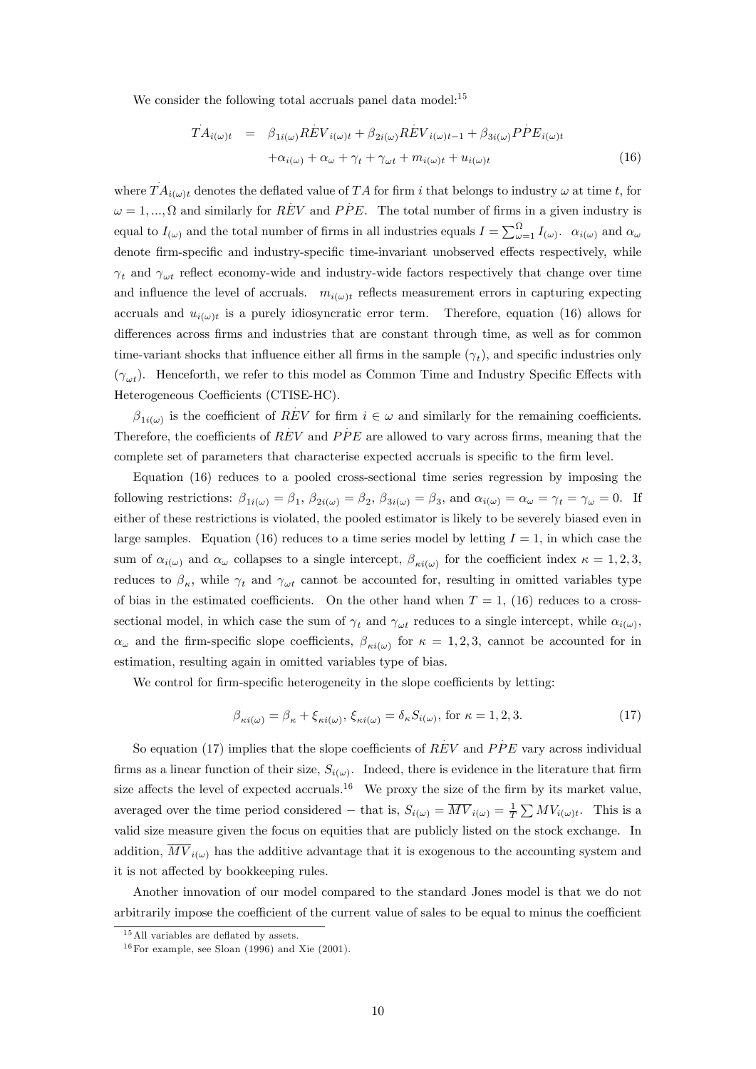We consider the following total accruals panel data model:<sup>15</sup>

$$
\dot{T}A_{i(\omega)t} = \beta_{1i(\omega)}R\dot{E}V_{i(\omega)t} + \beta_{2i(\omega)}R\dot{E}V_{i(\omega)t-1} + \beta_{3i(\omega)}P\dot{P}E_{i(\omega)t} \n+ \alpha_{i(\omega)} + \alpha_{\omega} + \gamma_t + \gamma_{\omega t} + m_{i(\omega)t} + u_{i(\omega)t}
$$
\n(16)

where  $T A_{i(\omega)t}$  denotes the deflated value of TA for firm i that belongs to industry  $\omega$  at time t, for  $\omega = 1, ..., \Omega$  and similarly for REV and PPE. The total number of firms in a given industry is equal to  $I_{(\omega)}$  and the total number of firms in all industries equals  $I = \sum_{\omega=1}^{\Omega} I_{(\omega)}$ .  $\alpha_{i(\omega)}$  and  $\alpha_{\omega}$ denote firm-specific and industry-specific time-invariant unobserved effects respectively, while  $\gamma_t$  and  $\gamma_{\omega t}$  reflect economy-wide and industry-wide factors respectively that change over time and influence the level of accruals.  $m_{i(\omega)t}$  reflects measurement errors in capturing expecting accruals and  $u_{i(\omega)t}$  is a purely idiosyncratic error term. Therefore, equation (16) allows for differences across firms and industries that are constant through time, as well as for common time-variant shocks that influence either all firms in the sample  $(\gamma_t)$ , and specific industries only  $(\gamma_{\omega t})$ . Henceforth, we refer to this model as Common Time and Industry Specific Effects with Heterogeneous Coefficients (CTISE-HC).

 $\beta_{1i(\omega)}$  is the coefficient of REV for firm  $i \in \omega$  and similarly for the remaining coefficients. Therefore, the coefficients of  $\dot{REV}$  and  $\dot{PPE}$  are allowed to vary across firms, meaning that the complete set of parameters that characterise expected accruals is specific to the firm level.

Equation (16) reduces to a pooled cross-sectional time series regression by imposing the following restrictions:  $\beta_{1i(\omega)} = \beta_1$ ,  $\beta_{2i(\omega)} = \beta_2$ ,  $\beta_{3i(\omega)} = \beta_3$ , and  $\alpha_{i(\omega)} = \alpha_{\omega} = \gamma_t = \gamma_{\omega} = 0$ . If either of these restrictions is violated, the pooled estimator is likely to be severely biased even in large samples. Equation (16) reduces to a time series model by letting  $I = 1$ , in which case the sum of  $\alpha_{i(\omega)}$  and  $\alpha_{\omega}$  collapses to a single intercept,  $\beta_{\kappa i(\omega)}$  for the coefficient index  $\kappa = 1, 2, 3$ , reduces to  $\beta_{\kappa}$ , while  $\gamma_t$  and  $\gamma_{\omega t}$  cannot be accounted for, resulting in omitted variables type of bias in the estimated coefficients. On the other hand when  $T = 1$ , (16) reduces to a crosssectional model, in which case the sum of  $\gamma_t$  and  $\gamma_{\omega t}$  reduces to a single intercept, while  $\alpha_{i(\omega)}$ ,  $\alpha_{\omega}$  and the firm-specific slope coefficients,  $\beta_{\kappa i(\omega)}$  for  $\kappa = 1, 2, 3$ , cannot be accounted for in estimation, resulting again in omitted variables type of bias.

We control for firm-specific heterogeneity in the slope coefficients by letting:

$$
\beta_{\kappa i(\omega)} = \beta_{\kappa} + \xi_{\kappa i(\omega)}, \xi_{\kappa i(\omega)} = \delta_{\kappa} S_{i(\omega)}, \text{ for } \kappa = 1, 2, 3. \tag{17}
$$

So equation (17) implies that the slope coefficients of  $R\ddot{E}V$  and  $P\dot{P}E$  vary across individual firms as a linear function of their size,  $S_{i(\omega)}$ . Indeed, there is evidence in the literature that firm size affects the level of expected accruals.<sup>16</sup> We proxy the size of the firm by its market value, averaged over the time period considered – that is,  $S_{i(\omega)} = \overline{MV}_{i(\omega)} = \frac{1}{T} \sum MV_{i(\omega)t}$ . This is a valid size measure given the focus on equities that are publicly listed on the stock exchange. In addition,  $\overline{MV}_{i(\omega)}$  has the additive advantage that it is exogenous to the accounting system and it is not affected by bookkeeping rules.

Another innovation of our model compared to the standard Jones model is that we do not arbitrarily impose the coefficient of the current value of sales to be equal to minus the coefficient

 $15$ All variables are deflated by assets.

 $16$  For example, see Sloan (1996) and Xie (2001).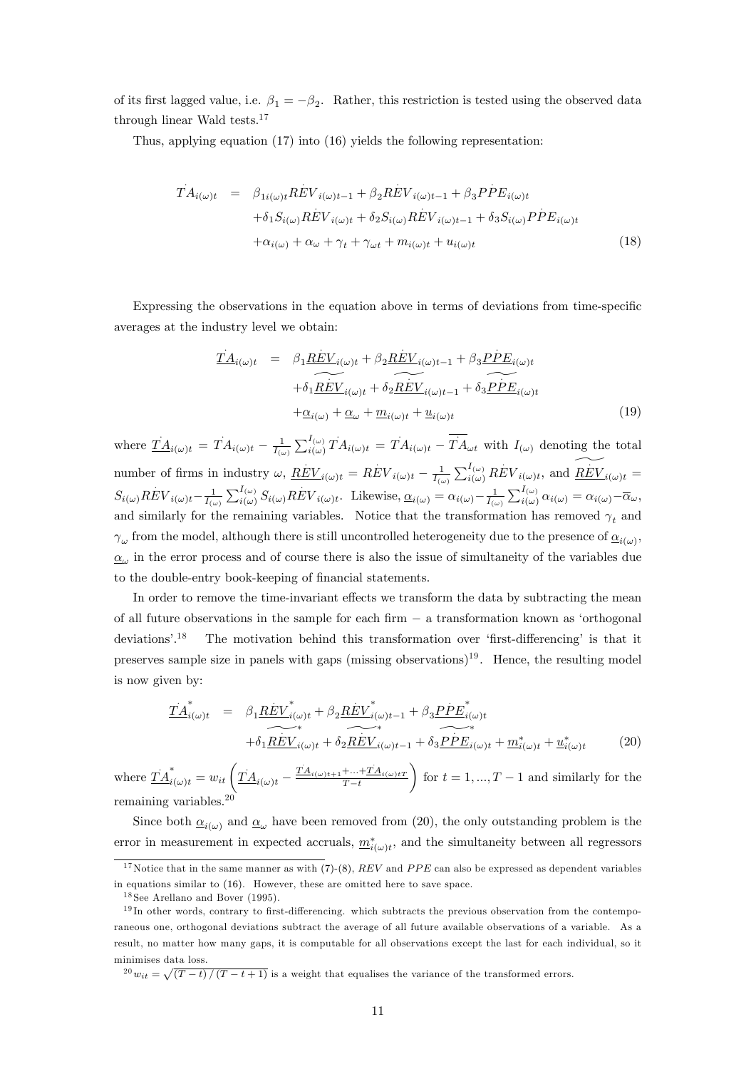of its first lagged value, i.e.  $\beta_1 = -\beta_2$ . Rather, this restriction is tested using the observed data through linear Wald tests.<sup>17</sup>

Thus, applying equation (17) into (16) yields the following representation:

$$
T A_{i(\omega)t} = \beta_{1i(\omega)t} R \dot{E} V_{i(\omega)t-1} + \beta_2 R \dot{E} V_{i(\omega)t-1} + \beta_3 P \dot{P} E_{i(\omega)t} + \delta_1 S_{i(\omega)} R \dot{E} V_{i(\omega)t} + \delta_2 S_{i(\omega)} R \dot{E} V_{i(\omega)t-1} + \delta_3 S_{i(\omega)} P \dot{P} E_{i(\omega)t} + \alpha_{i(\omega)} + \alpha_{\omega} + \gamma_t + \gamma_{\omega t} + m_{i(\omega)t} + u_{i(\omega)t}
$$
\n(18)

Expressing the observations in the equation above in terms of deviations from time-specific averages at the industry level we obtain:

$$
\underline{T}A_{i(\omega)t} = \beta_1 \underline{REV}_{i(\omega)t} + \beta_2 \underline{REV}_{i(\omega)t-1} + \beta_3 \underline{PPE}_{i(\omega)t} + \delta_1 \underline{\widetilde{REV}_{i(\omega)t} + \delta_2 \widetilde{REV}_{i(\omega)t-1} + \delta_3 \underline{PPE}_{i(\omega)t}} + \underline{\alpha}_{i(\omega)} + \underline{\alpha}_{\omega} + \underline{m}_{i(\omega)t} + \underline{u}_{i(\omega)t}
$$
\n(19)

where  $\underline{TA}_{i(\omega)t} = TA_{i(\omega)t} - \frac{1}{I_{(\omega)}}\sum_{i(\omega)}^{I_{(\omega)}}$  $\overline{T}A_{i(\omega)t} = \overline{T}A_{i(\omega)t} - \overline{T}A_{\omega t}$  with  $I_{(\omega)}$  denoting the total number of firms in industry  $\omega$ ,  $\underline{REV}_{i(\omega)t} = \overline{REV}_{i(\omega)t} - \frac{1}{I_{(\omega)}} \sum_{i(\omega)}^{I_{(\omega)}}$  $REV_{i(\omega)t}$ , and  $\widetilde{REV}_{i(\omega)t} =$  $S_{i(\omega)}REV_{i(\omega)t}-\frac{1}{I_{(\omega)}}\sum_{i(\omega)}^{I_{(\omega)}}S_{i(\omega)}REV_{i(\omega)t}$ . Likewise,  $\underline{\alpha}_{i(\omega)}=\alpha_{i(\omega)}-\frac{1}{I_{(\omega)}}\sum_{i(\omega)}^{I_{(\omega)}}\alpha_{i(\omega)}=\alpha_{i(\omega)}-\overline{\alpha}_{\omega}$ and similarly for the remaining variables. Notice that the transformation has removed  $\gamma_t$  and  $\gamma_\omega$  from the model, although there is still uncontrolled heterogeneity due to the presence of  $\underline{\alpha}_{i(\omega)}$ ,  $\underline{\alpha}_{\omega}$  in the error process and of course there is also the issue of simultaneity of the variables due to the double-entry book-keeping of financial statements.

In order to remove the time-invariant effects we transform the data by subtracting the mean of all future observations in the sample for each  $f_{\text{irm}} - a$  transformation known as 'orthogonal deviations<sup>'.18</sup> The motivation behind this transformation over 'first-differencing' is that it preserves sample size in panels with gaps (missing observations)<sup>19</sup>. Hence, the resulting model is now given by:

$$
\underline{T}\underline{A}_{i(\omega)t}^* = \underbrace{\beta_1 \underline{REV}^*_{i(\omega)t} + \beta_2 \underline{REV}^*_{i(\omega)t-1} + \beta_3 \underline{PPE}^*_{i(\omega)t}}_{+\delta_1 \underline{REV}^*_{i(\omega)t} + \delta_2 \underline{REV}^*_{i(\omega)t-1} + \delta_3 \underline{PPE}^*_{i(\omega)t} + \underline{m}^*_{i(\omega)t} + \underline{u}^*_{i(\omega)t}
$$
\n(20)

where  $\dot{T}\dot{A}^*_{i(\omega)t} = w_{it} \left( \dot{T}\dot{A}_{i(\omega)t} - \right)$  $\overline{TA}_{i(\omega)t+1} + \dots + \overline{TA}_{i(\omega)tT}$  $T - t$  $\setminus$ for  $t = 1, ..., T - 1$  and similarly for the remaining variables.<sup>20</sup>

Since both  $\underline{\alpha}_{i(\omega)}$  and  $\underline{\alpha}_{\omega}$  have been removed from (20), the only outstanding problem is the error in measurement in expected accruals,  $\underline{m}_{i(\omega)t}^*$ , and the simultaneity between all regressors

 $e^{20}w_{it} = \sqrt{(T-t)/(T-t+1)}$  is a weight that equalises the variance of the transformed errors.

<sup>&</sup>lt;sup>17</sup>Notice that in the same manner as with  $(7)-(8)$ ,  $REV$  and  $PPE$  can also be expressed as dependent variables in equations similar to (16). However, these are omitted here to save space.

 $18$  See Arellano and Bover (1995).

 $19$  In other words, contrary to first-differencing. which subtracts the previous observation from the contemporaneous one, orthogonal deviations subtract the average of all future available observations of a variable. As a result, no matter how many gaps, it is computable for all observations except the last for each individual, so it minimises data loss.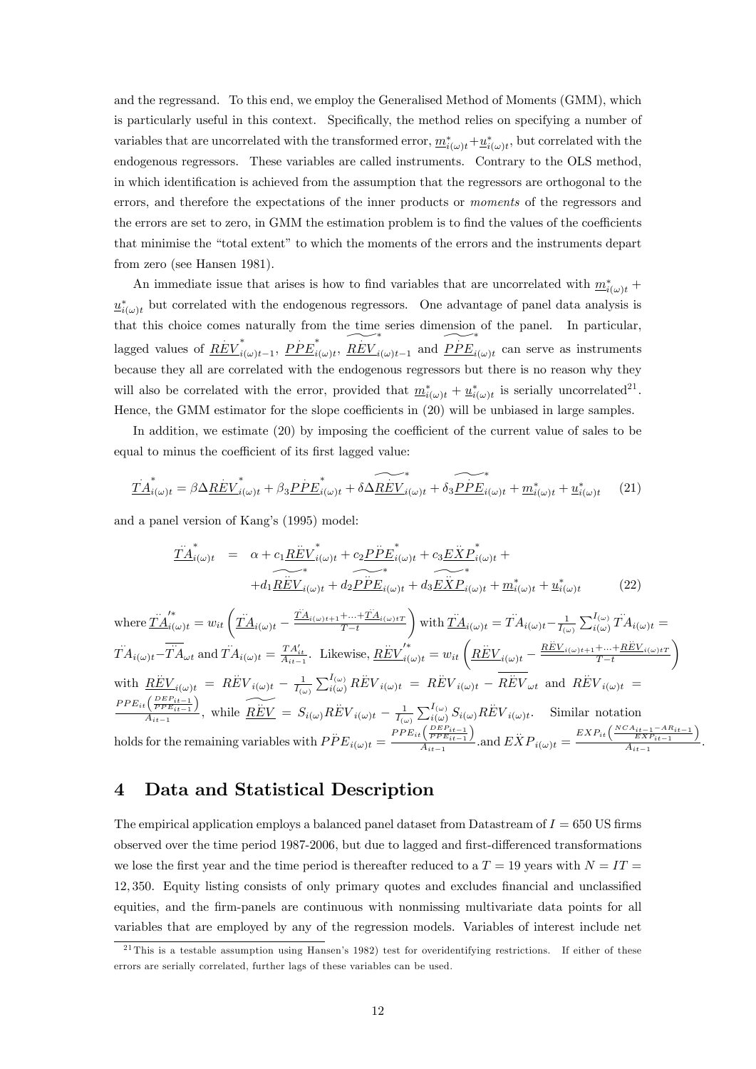and the regressand. To this end, we employ the Generalised Method of Moments (GMM), which is particularly useful in this context. Specifically, the method relies on specifying a number of variables that are uncorrelated with the transformed error,  $\underline{m}_{i(\omega)t}^* + \underline{u}_{i(\omega)t}^*$ , but correlated with the endogenous regressors. These variables are called instruments. Contrary to the OLS method, in which identification is achieved from the assumption that the regressors are orthogonal to the errors, and therefore the expectations of the inner products or moments of the regressors and the errors are set to zero, in GMM the estimation problem is to find the values of the coefficients that minimise the "total extent" to which the moments of the errors and the instruments depart from zero (see Hansen 1981).

An immediate issue that arises is how to find variables that are uncorrelated with  $m^*_{i(\omega)t}$  +  $\underline{u}^*_{i(\omega)t}$  but correlated with the endogenous regressors. One advantage of panel data analysis is that this choice comes naturally from the time series dimension of the panel. In particular, lagged values of  $\overrightarrow{REV}_i^*$ \* $i(\omega)t-1$ ,  $\overrightarrow{PPE}_i^*$  $\sum_{i(\omega)t}^*$ ,  $\underbrace{\widetilde{REV}}_{i(\omega)t-1}$  and  $\underbrace{\widetilde{PPE}}_{i}$  $\mathbf{c}_{i(\omega)t}$  can serve as instruments because they all are correlated with the endogenous regressors but there is no reason why they will also be correlated with the error, provided that  $\underline{m}_{i(\omega)t}^* + \underline{u}_{i(\omega)t}^*$  is serially uncorrelated<sup>21</sup>. Hence, the GMM estimator for the slope coefficients in  $(20)$  will be unbiased in large samples.

In addition, we estimate  $(20)$  by imposing the coefficient of the current value of sales to be equal to minus the coefficient of its first lagged value:

$$
\underline{T}\dot{A}_{i(\omega)t}^* = \beta \Delta \underline{REV}_{i(\omega)t}^* + \beta_3 \underline{PPE}_{i(\omega)t}^* + \delta \underline{\widetilde{REV}}_{i(\omega)t}^* + \delta \underline{\widetilde{PPE}}_{i(\omega)t}^* + \underline{m}_{i(\omega)t}^* + \underline{u}_{i(\omega)t}^* \qquad (21)
$$

and a panel version of Kang's (1995) model:

$$
\underline{\overrightarrow{TA}}_{i(\omega)t}^* = \alpha + c_1 \underline{\overrightarrow{REV}}_{i(\omega)t}^* + c_2 \underline{\overrightarrow{PPE}}_{i(\omega)t}^* + c_3 \underline{\overrightarrow{EXP}}_{i(\omega)t}^* + \overbrace{\overrightarrow{H_1 \underline{REV}}_{i(\omega)t}^* + d_2 \underline{\overrightarrow{PPE}}_{i(\omega)t}^* + d_3 \underline{\overrightarrow{EXP}}_{i(\omega)t}^* + \underline{\overrightarrow{m}}_{i(\omega)t}^* + \underline{\overrightarrow{u}}_{i(\omega)t}^*}^* \tag{22}
$$

where  $\overrightarrow{T}A_{i(\omega)t}^{\prime*}=w_{it}\left(\overrightarrow{T}A_{i(\omega)t}-\right)$  $\dot{T}A_{i(\omega)t+1} + ... + \dot{T}A_{i(\omega)tT}$  $T - t$  $\setminus$ with  $\underline{\ddot{T}}\underline{\dot{A}}_{i(\omega)t} = \ddot{T}\dot{A}_{i(\omega)t} - \frac{1}{I_{(\omega)}}\sum_{i(\omega)}^{I_{(\omega)}}$  $\ddot{T}A_{i(\omega)t} =$  $\overline{T}A_{i(\omega)t} - \overline{T}A_{\omega t}$  and  $\overline{T}A_{i(\omega)t} = \frac{T A'_{it}}{A_{it-1}}$ . Likewise,  $\underline{R}\overline{EV}^{*}_{i(\omega)t} = w_{it} \left( \underline{R}\overline{E}V_{i(\omega)t} \frac{REV}{\sum V_i(\omega)t+1} + \dots + \frac{REV}{\sum V_i(\omega)t}$  $T - t$  $\setminus$ with  $\underline{R}\ddot{\underline{E}}V_{i(\omega)t} = R\ddot{\underline{E}}V_{i(\omega)t} - \frac{1}{I_{(\omega)}}\sum_{i(\omega)}^{I_{(\omega)}}$  $\vec{REV}_{i(\omega)t} = \vec{REV}_{i(\omega)t} - \overline{\vec{REV}_{\omega t}}$  and  $\vec{REV}_{i(\omega)t} =$  $PPE_{it}(\frac{DEP_{it-1}}{PPE_{it-1}})$  $\left( \frac{\overline{PPE}_{it-1}}{\overline{PPE}_{it-1}} \right)$ , while  $\overline{REV} = S_{i(\omega)} REV_{i(\omega)t} - \frac{1}{I_{(\omega)}} \sum_{i(\omega)}^{I_{(\omega)}} S_{i(\omega)} REV_{i(\omega)t}$ . Similar notation holds for the remaining variables with  $P\ddot{P}E_{i(\omega)t} =$  $PPE_{it}(\frac{DEP_{it-1}}{PPE_{it-1}})$  $\frac{\left(\frac{DEF_{it-1}}{PE_{it-1}}\right)}{A_{it-1}}$  and  $\ddot{EXP}_{i(\omega)t}$  =  $\frac{EXP_{it}\left(\frac{NCA_{it-1}-AR_{it-1}}{EXP_{it-1}}\right)}{EXP_{it-1}}$  $\frac{EX P_{it-1}}{A_{it-1}}$ .

#### 4 Data and Statistical Description

The empirical application employs a balanced panel dataset from Datastream of  $I = 650$  US firms observed over the time period 1987-2006, but due to lagged and first-differenced transformations we lose the first year and the time period is thereafter reduced to a  $T = 19$  years with  $N = IT$ 12, 350. Equity listing consists of only primary quotes and excludes financial and unclassified equities, and the firm-panels are continuous with nonmissing multivariate data points for all variables that are employed by any of the regression models. Variables of interest include net

 $^{21}$ This is a testable assumption using Hansen's 1982) test for overidentifying restrictions. If either of these errors are serially correlated, further lags of these variables can be used.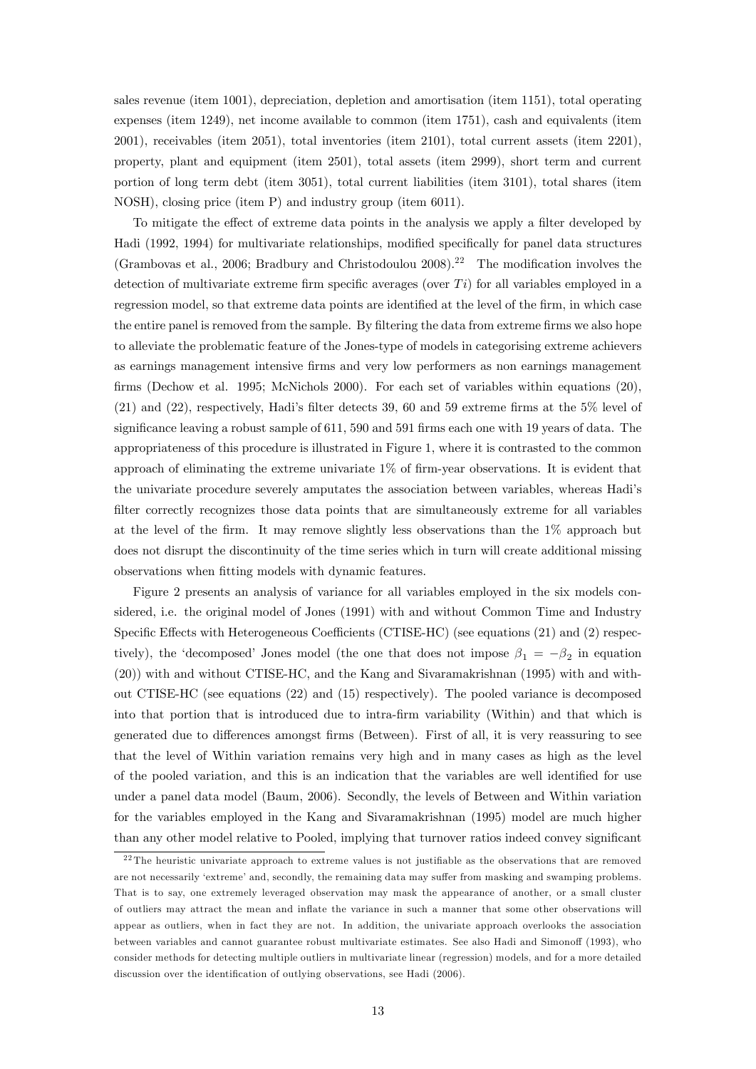sales revenue (item 1001), depreciation, depletion and amortisation (item 1151), total operating expenses (item 1249), net income available to common (item 1751), cash and equivalents (item 2001), receivables (item 2051), total inventories (item 2101), total current assets (item 2201), property, plant and equipment (item 2501), total assets (item 2999), short term and current portion of long term debt (item 3051), total current liabilities (item 3101), total shares (item NOSH), closing price (item P) and industry group (item 6011).

To mitigate the effect of extreme data points in the analysis we apply a filter developed by Hadi (1992, 1994) for multivariate relationships, modified specifically for panel data structures (Grambovas et al., 2006; Bradbury and Christodoulou  $2008$ ).<sup>22</sup> The modification involves the detection of multivariate extreme firm specific averages (over  $Ti$ ) for all variables employed in a regression model, so that extreme data points are identified at the level of the firm, in which case the entire panel is removed from the sample. By filtering the data from extreme firms we also hope to alleviate the problematic feature of the Jones-type of models in categorising extreme achievers as earnings management intensive Örms and very low performers as non earnings management firms (Dechow et al. 1995; McNichols 2000). For each set of variables within equations (20), (21) and (22), respectively, Hadi's filter detects 39, 60 and 59 extreme firms at the  $5\%$  level of significance leaving a robust sample of  $611$ ,  $590$  and  $591$  firms each one with 19 years of data. The appropriateness of this procedure is illustrated in Figure 1, where it is contrasted to the common approach of eliminating the extreme univariate  $1\%$  of firm-year observations. It is evident that the univariate procedure severely amputates the association between variables, whereas Hadiís filter correctly recognizes those data points that are simultaneously extreme for all variables at the level of the firm. It may remove slightly less observations than the  $1\%$  approach but does not disrupt the discontinuity of the time series which in turn will create additional missing observations when fitting models with dynamic features.

Figure 2 presents an analysis of variance for all variables employed in the six models considered, i.e. the original model of Jones (1991) with and without Common Time and Industry Specific Effects with Heterogeneous Coefficients (CTISE-HC) (see equations (21) and (2) respectively), the 'decomposed' Jones model (the one that does not impose  $\beta_1 = -\beta_2$  in equation (20)) with and without CTISE-HC, and the Kang and Sivaramakrishnan (1995) with and without CTISE-HC (see equations (22) and (15) respectively). The pooled variance is decomposed into that portion that is introduced due to intra-firm variability (Within) and that which is generated due to differences amongst firms (Between). First of all, it is very reassuring to see that the level of Within variation remains very high and in many cases as high as the level of the pooled variation, and this is an indication that the variables are well identified for use under a panel data model (Baum, 2006). Secondly, the levels of Between and Within variation for the variables employed in the Kang and Sivaramakrishnan (1995) model are much higher than any other model relative to Pooled, implying that turnover ratios indeed convey significant

 $22$  The heuristic univariate approach to extreme values is not justifiable as the observations that are removed are not necessarily 'extreme' and, secondly, the remaining data may suffer from masking and swamping problems. That is to say, one extremely leveraged observation may mask the appearance of another, or a small cluster of outliers may attract the mean and ináate the variance in such a manner that some other observations will appear as outliers, when in fact they are not. In addition, the univariate approach overlooks the association between variables and cannot guarantee robust multivariate estimates. See also Hadi and Simonoff (1993), who consider methods for detecting multiple outliers in multivariate linear (regression) models, and for a more detailed discussion over the identification of outlying observations, see Hadi (2006).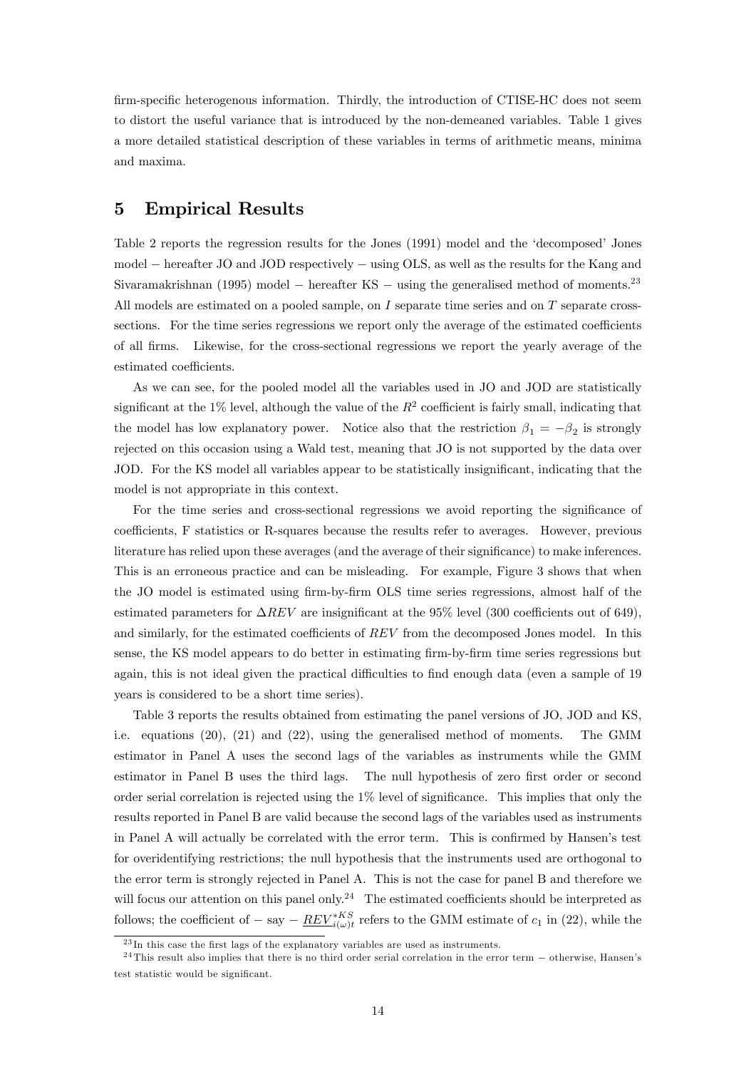firm-specific heterogenous information. Thirdly, the introduction of CTISE-HC does not seem to distort the useful variance that is introduced by the non-demeaned variables. Table 1 gives a more detailed statistical description of these variables in terms of arithmetic means, minima and maxima.

#### 5 Empirical Results

Table 2 reports the regression results for the Jones (1991) model and the 'decomposed' Jones model – hereafter JO and JOD respectively – using OLS, as well as the results for the Kang and Sivaramakrishnan (1995) model – hereafter KS – using the generalised method of moments.<sup>23</sup> All models are estimated on a pooled sample, on  $I$  separate time series and on  $T$  separate crosssections. For the time series regressions we report only the average of the estimated coefficients of all Örms. Likewise, for the cross-sectional regressions we report the yearly average of the estimated coefficients.

As we can see, for the pooled model all the variables used in JO and JOD are statistically significant at the 1% level, although the value of the  $R^2$  coefficient is fairly small, indicating that the model has low explanatory power. Notice also that the restriction  $\beta_1 = -\beta_2$  is strongly rejected on this occasion using a Wald test, meaning that JO is not supported by the data over JOD. For the KS model all variables appear to be statistically insignificant, indicating that the model is not appropriate in this context.

For the time series and cross-sectional regressions we avoid reporting the significance of coefficients, F statistics or R-squares because the results refer to averages. However, previous literature has relied upon these averages (and the average of their significance) to make inferences. This is an erroneous practice and can be misleading. For example, Figure 3 shows that when the JO model is estimated using firm-by-firm OLS time series regressions, almost half of the estimated parameters for  $\Delta REV$  are insignificant at the 95% level (300 coefficients out of 649), and similarly, for the estimated coefficients of  $REV$  from the decomposed Jones model. In this sense, the KS model appears to do better in estimating firm-by-firm time series regressions but again, this is not ideal given the practical difficulties to find enough data (even a sample of 19 years is considered to be a short time series).

Table 3 reports the results obtained from estimating the panel versions of JO, JOD and KS, i.e. equations (20), (21) and (22), using the generalised method of moments. The GMM estimator in Panel A uses the second lags of the variables as instruments while the GMM estimator in Panel B uses the third lags. The null hypothesis of zero first order or second order serial correlation is rejected using the  $1\%$  level of significance. This implies that only the results reported in Panel B are valid because the second lags of the variables used as instruments in Panel A will actually be correlated with the error term. This is confirmed by Hansen's test for overidentifying restrictions; the null hypothesis that the instruments used are orthogonal to the error term is strongly rejected in Panel A. This is not the case for panel B and therefore we will focus our attention on this panel only.<sup>24</sup> The estimated coefficients should be interpreted as follows; the coefficient of  $-$  say  $\underline{REV}^{*KS}_{i(\omega)t}$  refers to the GMM estimate of  $c_1$  in (22), while the

 $^{23}$ In this case the first lags of the explanatory variables are used as instruments.

 $^{24}$ This result also implies that there is no third order serial correlation in the error term  $-$  otherwise, Hansen's test statistic would be significant.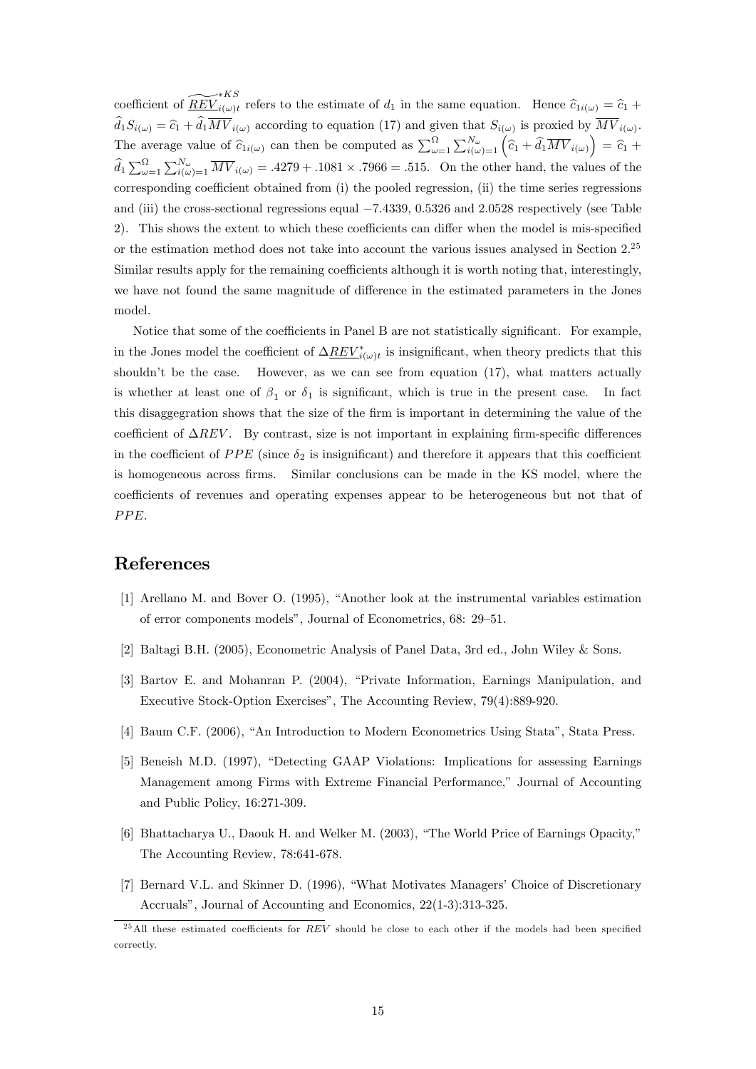coefficient of  $\widetilde{REV}^{*KS}_{i(\omega)t}$  refers to the estimate of  $d_1$  in the same equation. Hence  $\widehat{c}_{1i(\omega)} = \widehat{c}_1 + \widehat{c}_2$  $d_1S_{i(\omega)} = \hat{c}_1 + d_1MV_{i(\omega)}$  according to equation (17) and given that  $S_{i(\omega)}$  is proxied by  $MV_{i(\omega)}$ . The average value of  $\hat{c}_{1i(\omega)}$  can then be computed as  $\sum_{\omega=1}^{\Omega} \sum_{i(\omega)=1}^{N_{\omega}} (\hat{c}_1 + \hat{d}_1 \overline{MV}_{i(\omega)}) = \hat{c}_1 + \hat{c}_2$  $\hat{d}_1 \sum_{\omega=1}^{\Omega} \sum_{i(\omega)=1}^{N_{\omega}} \overline{MV}_{i(\omega)} = .4279 + .1081 \times .7966 = .515$ . On the other hand, the values of the corresponding coefficient obtained from (i) the pooled regression, (ii) the time series regressions and (iii) the cross-sectional regressions equal  $-7.4339$ , 0.5326 and 2.0528 respectively (see Table 2). This shows the extent to which these coefficients can differ when the model is mis-specified or the estimation method does not take into account the various issues analysed in Section 2.<sup>25</sup> Similar results apply for the remaining coefficients although it is worth noting that, interestingly, we have not found the same magnitude of difference in the estimated parameters in the Jones model.

Notice that some of the coefficients in Panel B are not statistically significant. For example, in the Jones model the coefficient of  $\Delta \underline{REV}_{i(\omega)t}^*$  is insignificant, when theory predicts that this shouldn't be the case. However, as we can see from equation  $(17)$ , what matters actually is whether at least one of  $\beta_1$  or  $\delta_1$  is significant, which is true in the present case. In fact this disaggegration shows that the size of the firm is important in determining the value of the coefficient of  $\Delta REV$ . By contrast, size is not important in explaining firm-specific differences in the coefficient of  $PPE$  (since  $\delta_2$  is insignificant) and therefore it appears that this coefficient is homogeneous across Örms. Similar conclusions can be made in the KS model, where the coefficients of revenues and operating expenses appear to be heterogeneous but not that of PPE.

#### References

- $[1]$  Arellano M. and Bover O. (1995), "Another look at the instrumental variables estimation of error components models", Journal of Econometrics, 68: 29–51.
- [2] Baltagi B.H. (2005), Econometric Analysis of Panel Data, 3rd ed., John Wiley & Sons.
- [3] Bartov E. and Mohanran P. (2004), "Private Information, Earnings Manipulation, and Executive Stock-Option Exercises", The Accounting Review, 79(4):889-920.
- [4] Baum C.F. (2006), "An Introduction to Modern Econometrics Using Stata", Stata Press.
- [5] Beneish M.D. (1997), "Detecting GAAP Violations: Implications for assessing Earnings Management among Firms with Extreme Financial Performance," Journal of Accounting and Public Policy, 16:271-309.
- [6] Bhattacharya U., Daouk H. and Welker M. (2003), "The World Price of Earnings Opacity," The Accounting Review, 78:641-678.
- [7] Bernard V.L. and Skinner D. (1996), "What Motivates Managers' Choice of Discretionary Accruals", Journal of Accounting and Economics, 22(1-3):313-325.

 $^{25}$ All these estimated coefficients for REV should be close to each other if the models had been specified correctly.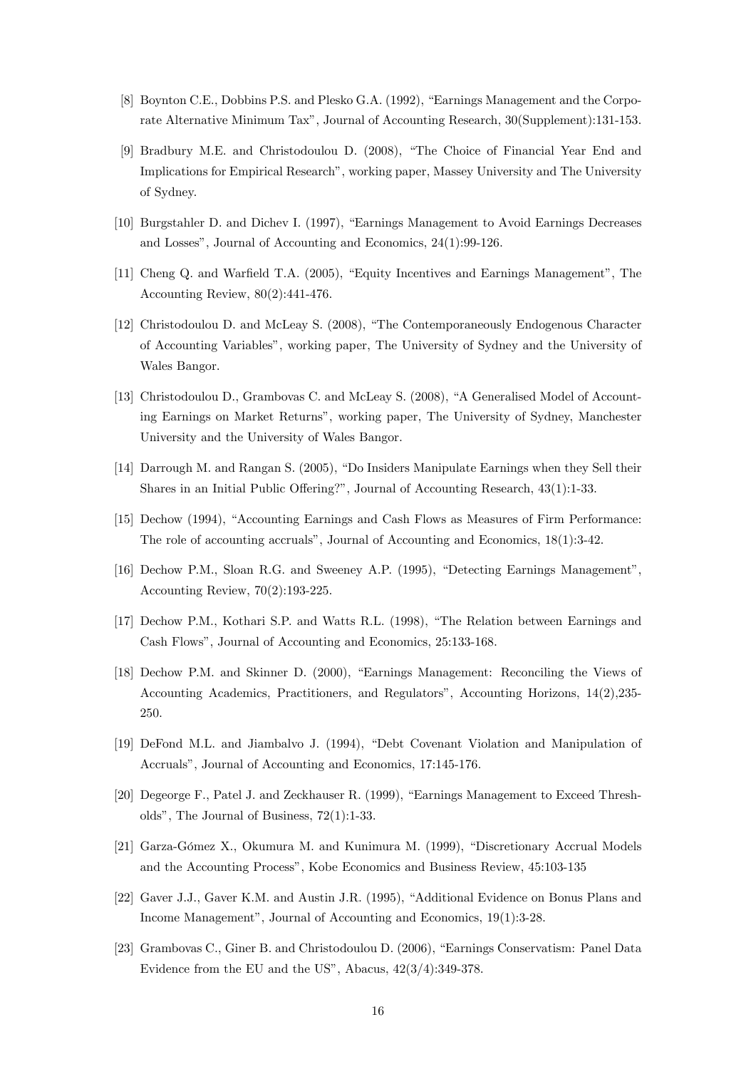- [8] Boynton C.E., Dobbins P.S. and Plesko G.A. (1992), "Earnings Management and the Corporate Alternative Minimum Tax", Journal of Accounting Research, 30(Supplement): 131-153.
- [9] Bradbury M.E. and Christodoulou D. (2008), "The Choice of Financial Year End and Implications for Empirical Research", working paper, Massey University and The University of Sydney.
- [10] Burgstahler D. and Dichev I. (1997), "Earnings Management to Avoid Earnings Decreases and Losses", Journal of Accounting and Economics, 24(1):99-126.
- [11] Cheng Q. and Warfield T.A. (2005), "Equity Incentives and Earnings Management", The Accounting Review,  $80(2):441-476$ .
- [12] Christodoulou D. and McLeay S. (2008), "The Contemporaneously Endogenous Character of Accounting Variables", working paper. The University of Sydney and the University of Wales Bangor.
- [13] Christodoulou D., Grambovas C. and McLeav S. (2008), "A Generalised Model of Accounting Earnings on Market Returns", working paper, The University of Sydney, Manchester University and the University of Wales Bangor.
- [14] Darrough M. and Rangan S. (2005), "Do Insiders Manipulate Earnings when they Sell their Shares in an Initial Public Offering?", Journal of Accounting Research, 43(1):1-33.
- [15] Dechow (1994), "Accounting Earnings and Cash Flows as Measures of Firm Performance: The role of accounting accruals", Journal of Accounting and Economics, 18(1):3-42.
- [16] Dechow P.M., Sloan R.G. and Sweeney A.P. (1995), "Detecting Earnings Management", Accounting Review,  $70(2):193-225$ .
- [17] Dechow P.M., Kothari S.P. and Watts R.L. (1998), "The Relation between Earnings and Cash Flows", Journal of Accounting and Economics, 25:133-168.
- [18] Dechow P.M. and Skinner D. (2000), "Earnings Management: Reconciling the Views of Accounting Academics, Practitioners, and Regulators", Accounting Horizons, 14(2), 235-250.
- [19] DeFond M.L. and Jiambalvo J. (1994), "Debt Covenant Violation and Manipulation of Accruals", Journal of Accounting and Economics, 17:145-176.
- [20] Degeorge F., Patel J. and Zeckhauser R. (1999), "Earnings Management to Exceed Thresholds", The Journal of Business,  $72(1)$ :1-33.
- [21] Garza-Gómez X., Okumura M. and Kunimura M. (1999), "Discretionary Accrual Models and the Accounting Process", Kobe Economics and Business Review, 45:103-135
- [22] Gaver J.J., Gaver K.M. and Austin J.R. (1995), "Additional Evidence on Bonus Plans and Income Management", Journal of Accounting and Economics, 19(1):3-28.
- [23] Grambovas C., Giner B. and Christodoulou D. (2006), "Earnings Conservatism: Panel Data Evidence from the EU and the US", Abacus,  $42(3/4)$ :349-378.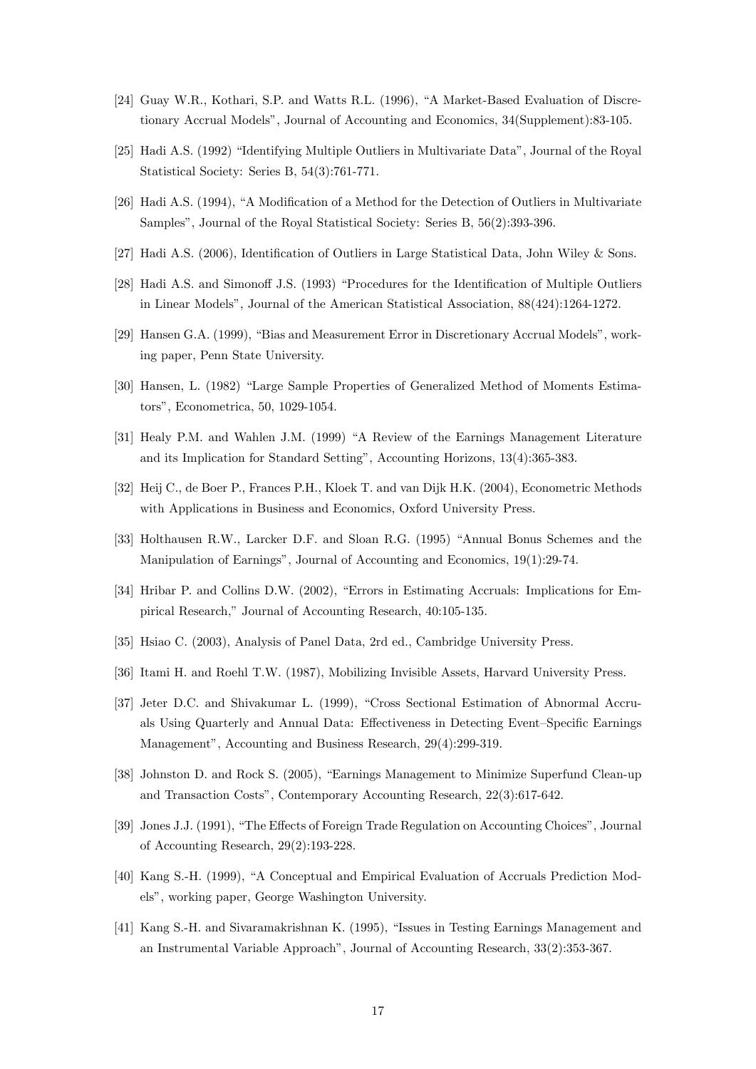- [24] Guay W.R., Kothari, S.P. and Watts R.L. (1996), "A Market-Based Evaluation of Discretionary Accrual Models", Journal of Accounting and Economics, 34(Supplement):83-105.
- [25] Hadi A.S. (1992) "Identifying Multiple Outliers in Multivariate Data", Journal of the Royal Statistical Society: Series B, 54(3):761-771.
- [26] Hadi A.S. (1994), "A Modification of a Method for the Detection of Outliers in Multivariate Samples", Journal of the Royal Statistical Society: Series B, 56(2):393-396.
- [27] Hadi A.S. (2006), Identification of Outliers in Large Statistical Data, John Wiley & Sons.
- [28] Hadi A.S. and Simonoff J.S. (1993) "Procedures for the Identification of Multiple Outliers in Linear Models", Journal of the American Statistical Association,  $88(424):1264-1272$ .
- [29] Hansen G.A. (1999), "Bias and Measurement Error in Discretionary Accrual Models", working paper, Penn State University.
- [30] Hansen, L. (1982) "Large Sample Properties of Generalized Method of Moments Estimators". Econometrica. 50. 1029-1054.
- [31] Healy P.M. and Wahlen J.M. (1999) "A Review of the Earnings Management Literature and its Implication for Standard Setting", Accounting Horizons, 13(4):365-383.
- [32] Heij C., de Boer P., Frances P.H., Kloek T. and van Dijk H.K. (2004), Econometric Methods with Applications in Business and Economics, Oxford University Press.
- [33] Holthausen R.W., Larcker D.F. and Sloan R.G. (1995) "Annual Bonus Schemes and the Manipulation of Earnings", Journal of Accounting and Economics, 19(1):29-74.
- [34] Hribar P. and Collins D.W. (2002), "Errors in Estimating Accruals: Implications for Empirical Research," Journal of Accounting Research, 40:105-135.
- [35] Hsiao C. (2003), Analysis of Panel Data, 2rd ed., Cambridge University Press.
- [36] Itami H. and Roehl T.W. (1987), Mobilizing Invisible Assets, Harvard University Press.
- [37] Jeter D.C. and Shivakumar L. (1999), "Cross Sectional Estimation of Abnormal Accruals Using Quarterly and Annual Data: Effectiveness in Detecting Event-Specific Earnings Management", Accounting and Business Research, 29(4):299-319.
- [38] Johnston D. and Rock S. (2005), "Earnings Management to Minimize Superfund Clean-up and Transaction Costs", Contemporary Accounting Research, 22(3):617-642.
- [39] Jones J.J. (1991), "The Effects of Foreign Trade Regulation on Accounting Choices", Journal of Accounting Research,  $29(2):193-228$ .
- [40] Kang S.-H. (1999), "A Conceptual and Empirical Evaluation of Accruals Prediction Models", working paper, George Washington University.
- [41] Kang S.-H. and Sivaramakrishnan K. (1995), "Issues in Testing Earnings Management and an Instrumental Variable Approach", Journal of Accounting Research, 33(2):353-367.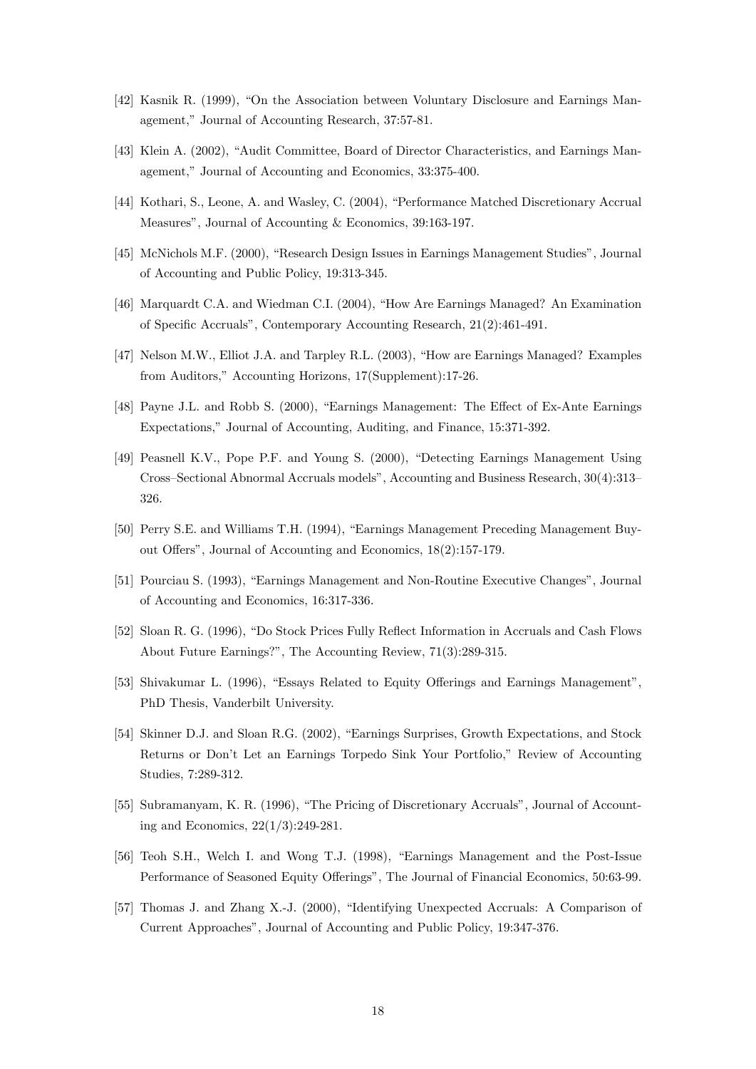- [42] Kasnik R. (1999), "On the Association between Voluntary Disclosure and Earnings Management," Journal of Accounting Research, 37:57-81.
- [43] Klein A. (2002), "Audit Committee, Board of Director Characteristics, and Earnings Management," Journal of Accounting and Economics, 33:375-400.
- [44] Kothari, S., Leone, A. and Wasley, C. (2004), "Performance Matched Discretionary Accrual Measures", Journal of Accounting & Economics, 39:163-197.
- [45] McNichols M.F. (2000), "Research Design Issues in Earnings Management Studies", Journal of Accounting and Public Policy, 19:313-345.
- [46] Marquardt C.A. and Wiedman C.I. (2004), "How Are Earnings Managed? An Examination of Specific Accruals", Contemporary Accounting Research, 21(2):461-491.
- [47] Nelson M.W., Elliot J.A. and Tarpley R.L. (2003). "How are Earnings Managed? Examples from Auditors," Accounting Horizons, 17(Supplement):17-26.
- [48] Payne J.L. and Robb S. (2000), "Earnings Management: The Effect of Ex-Ante Earnings Expectations," Journal of Accounting, Auditing, and Finance, 15:371-392.
- [49] Peasnell K.V., Pope P.F. and Young S. (2000), "Detecting Earnings Management Using Cross-Sectional Abnormal Accruals models", Accounting and Business Research, 30(4):313-326.
- [50] Perry S.E. and Williams T.H. (1994), "Earnings Management Preceding Management Buyout Offers", Journal of Accounting and Economics, 18(2):157-179.
- [51] Pourciau S. (1993), "Earnings Management and Non-Routine Executive Changes", Journal of Accounting and Economics, 16:317-336.
- [52] Sloan R. G. (1996), "Do Stock Prices Fully Reflect Information in Accruals and Cash Flows About Future Earnings?", The Accounting Review, 71(3):289-315.
- [53] Shivakumar L. (1996), "Essays Related to Equity Offerings and Earnings Management", PhD Thesis, Vanderbilt University.
- [54] Skinner D.J. and Sloan R.G. (2002), "Earnings Surprises, Growth Expectations, and Stock Returns or Don't Let an Earnings Torpedo Sink Your Portfolio," Review of Accounting Studies, 7:289-312.
- [55] Subramanyam, K. R. (1996), "The Pricing of Discretionary Accruals", Journal of Accounting and Economics,  $22(1/3):249-281$ .
- [56] Teoh S.H., Welch I. and Wong T.J. (1998), "Earnings Management and the Post-Issue Performance of Seasoned Equity Offerings", The Journal of Financial Economics, 50:63-99.
- [57] Thomas J. and Zhang X.-J. (2000), "Identifying Unexpected Accruals: A Comparison of Current Approaches", Journal of Accounting and Public Policy, 19:347-376.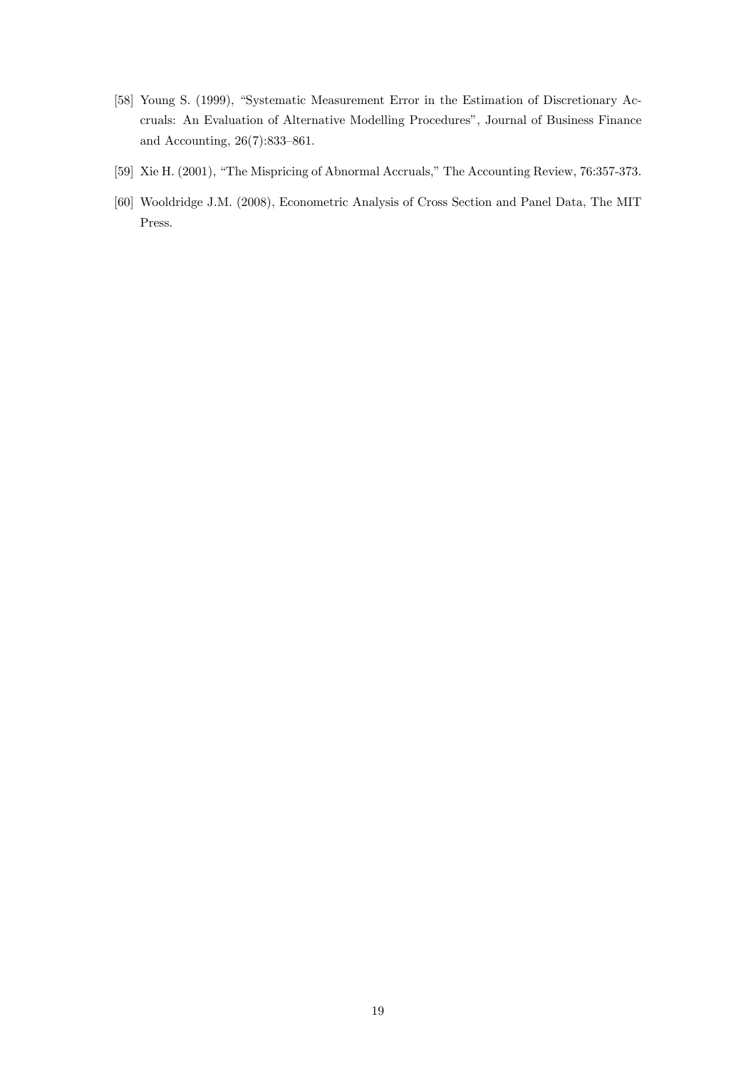- [58] Young S. (1999), "Systematic Measurement Error in the Estimation of Discretionary Accruals: An Evaluation of Alternative Modelling Procedures", Journal of Business Finance and Accounting,  $26(7):833-861$ .
- [59] Xie H. (2001), "The Mispricing of Abnormal Accruals," The Accounting Review, 76:357-373.
- [60] Wooldridge J.M. (2008), Econometric Analysis of Cross Section and Panel Data, The MIT Press.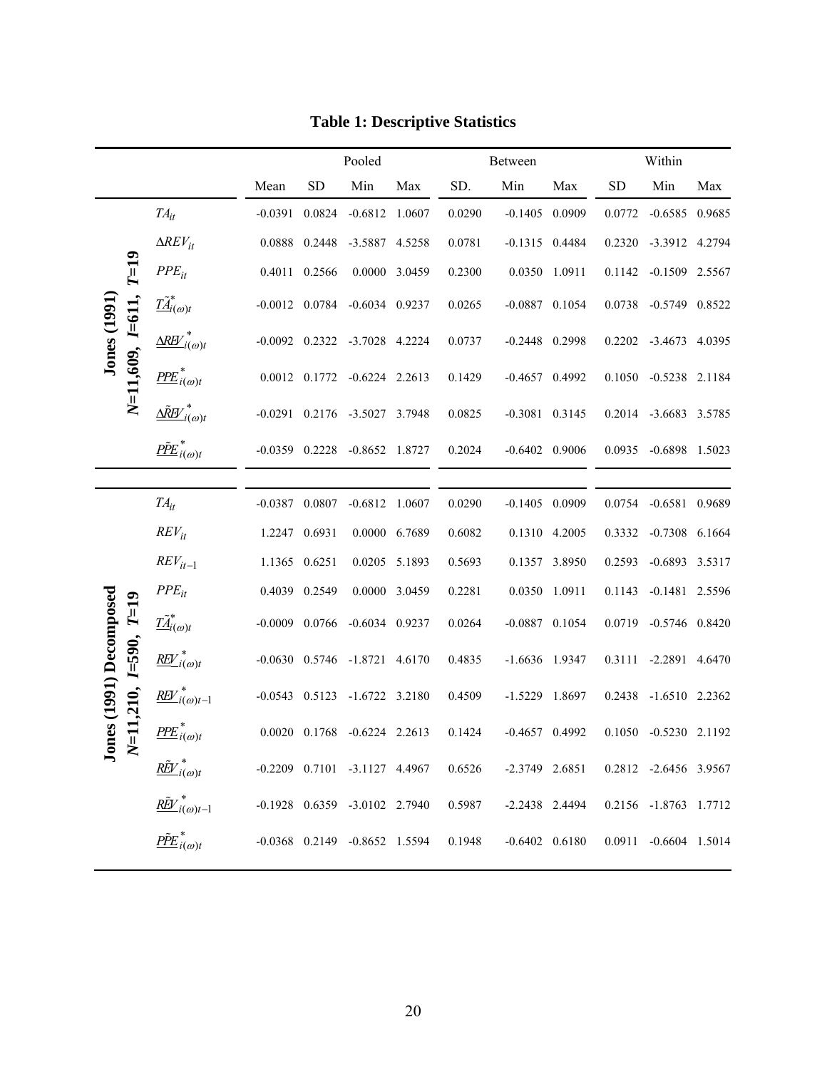|                                          |                                                             |                  | Pooled        |                                       |               |        | Between            |               | Within                |                       |        |  |
|------------------------------------------|-------------------------------------------------------------|------------------|---------------|---------------------------------------|---------------|--------|--------------------|---------------|-----------------------|-----------------------|--------|--|
|                                          |                                                             | Mean             | <b>SD</b>     | Min                                   | Max           | SD.    | Min                | Max           | <b>SD</b>             | Min                   | Max    |  |
|                                          | $TA_{it}$                                                   | $-0.0391$        | 0.0824        | $-0.6812$ 1.0607                      |               | 0.0290 | $-0.1405$ 0.0909   |               | 0.0772                | $-0.6585$             | 0.9685 |  |
|                                          | $\Delta$ REV <sub>it</sub>                                  | 0.0888           | 0.2448        | $-3.5887$                             | 4.5258        | 0.0781 | $-0.1315$ 0.4484   |               | 0.2320                | -3.3912 4.2794        |        |  |
| $T=19$                                   | $PPE_{it}$                                                  | 0.4011           | 0.2566        |                                       | 0.0000 3.0459 | 0.2300 | 0.0350 1.0911      |               | 0.1142                | $-0.1509$ 2.5567      |        |  |
|                                          | $\tilde{\underline{IA}}^*_{i(\omega)t}$                     | $-0.0012$ 0.0784 |               | $-0.6034$ 0.9237                      |               | 0.0265 | $-0.0887$ 0.1054   |               | 0.0738                | $-0.5749$ $0.8522$    |        |  |
| $N=11,609, I=611,$<br><b>Jones</b> (1991 | $\Delta R H'_{i(\omega)t}$                                  | $-0.0092$        | 0.2322        | $-3.7028$                             | 4.2224        | 0.0737 | $-0.2448$ 0.2998   |               | 0.2202                | $-3.4673$             | 4.0395 |  |
|                                          | $P\!P\!E_{i(\omega)t}^*$                                    |                  | 0.0012 0.1772 | $-0.6224$ 2.2613                      |               | 0.1429 | $-0.4657$ 0.4992   |               | 0.1050                | $-0.5238$ 2.1184      |        |  |
|                                          | $\underline{\Delta\tilde R} \underline{W}^*_{i(\omega)t}$   | $-0.0291$        | 0.2176        | -3.5027 3.7948                        |               | 0.0825 | $-0.3081$ $0.3145$ |               | 0.2014                | $-3.6683$             | 3.5785 |  |
|                                          | $\underline{P\tilde{P}E}_{i(\omega)t}^*$                    |                  |               | $-0.0359$ $0.2228$ $-0.8652$ $1.8727$ |               | 0.2024 | $-0.6402$ 0.9006   |               | 0.0935                | $-0.6898$ 1.5023      |        |  |
|                                          |                                                             |                  |               |                                       |               |        |                    |               |                       |                       |        |  |
|                                          | $TA_{it}$                                                   | $-0.0387$        | 0.0807        | $-0.6812$                             | 1.0607        | 0.0290 | $-0.1405$ 0.0909   |               | 0.0754                | $-0.6581$             | 0.9689 |  |
|                                          | $REV_{it}$                                                  | 1.2247           | 0.6931        |                                       | 0.0000 6.7689 | 0.6082 |                    | 0.1310 4.2005 | 0.3332                | $-0.7308$             | 6.1664 |  |
|                                          | $REV_{it-1}$                                                | 1.1365 0.6251    |               |                                       | 0.0205 5.1893 | 0.5693 |                    | 0.1357 3.8950 | 0.2593                | $-0.6893$ 3.5317      |        |  |
|                                          | $PPE_{it}$                                                  | 0.4039           | 0.2549        |                                       | 0.0000 3.0459 | 0.2281 |                    | 0.0350 1.0911 | 0.1143                | $-0.1481$ 2.5596      |        |  |
| $T=19$                                   | $\tilde{\underline{IA}}_{i(\omega)t}^*$                     | $-0.0009$        | 0.0766        | $-0.6034$ 0.9237                      |               | 0.0264 | $-0.0887$ 0.1054   |               | 0.0719                | $-0.5746$ 0.8420      |        |  |
| $I = 590,$                               | $\underline{REV}^*_{i(\omega)t}$                            |                  |               | $-0.0630$ $0.5746$ $-1.8721$ $4.6170$ |               | 0.4835 | $-1.6636$ 1.9347   |               | 0.3111                | $-2.2891$ 4.6470      |        |  |
|                                          | $\underline{R\cancel{E}}\bigcup_{i(\omega)t-1}^{*}$         | $-0.0543$        | 0.5123        | $-1.6722$ 3.2180                      |               | 0.4509 | $-1.5229$ 1.8697   |               | 0.2438                | $-1.6510$ 2.2362      |        |  |
| ones (1991) Decomposed<br>$N = 11,210,$  | $P\!P\!E_{i(\omega)t}^*$                                    |                  |               | 0.0020 0.1768 -0.6224 2.2613          |               | 0.1424 | $-0.4657$ 0.4992   |               | 0.1050                | $-0.5230$ 2.1192      |        |  |
| $\tilde{\mathbf{z}}$                     | $\underline{R\tilde{E}V}^*_{i(\omega)t}$                    |                  |               | $-0.2209$ $0.7101$ $-3.1127$ $4.4967$ |               | 0.6526 | $-2.3749$ 2.6851   |               | 0.2812 -2.6456 3.9567 |                       |        |  |
|                                          | $\underline{\tilde{REV}}^*_{i(\omega)t-1}$                  |                  |               | $-0.1928$ $0.6359$ $-3.0102$ 2.7940   |               | 0.5987 | $-2.2438$ 2.4494   |               |                       | 0.2156 -1.8763 1.7712 |        |  |
|                                          | $\underline{\tilde{P}}\tilde{\underline{E}}_{i(\omega)t}^*$ |                  |               | $-0.0368$ 0.2149 $-0.8652$ 1.5594     |               | 0.1948 | $-0.6402$ 0.6180   |               |                       | 0.0911 -0.6604 1.5014 |        |  |

# **Table 1: Descriptive Statistics**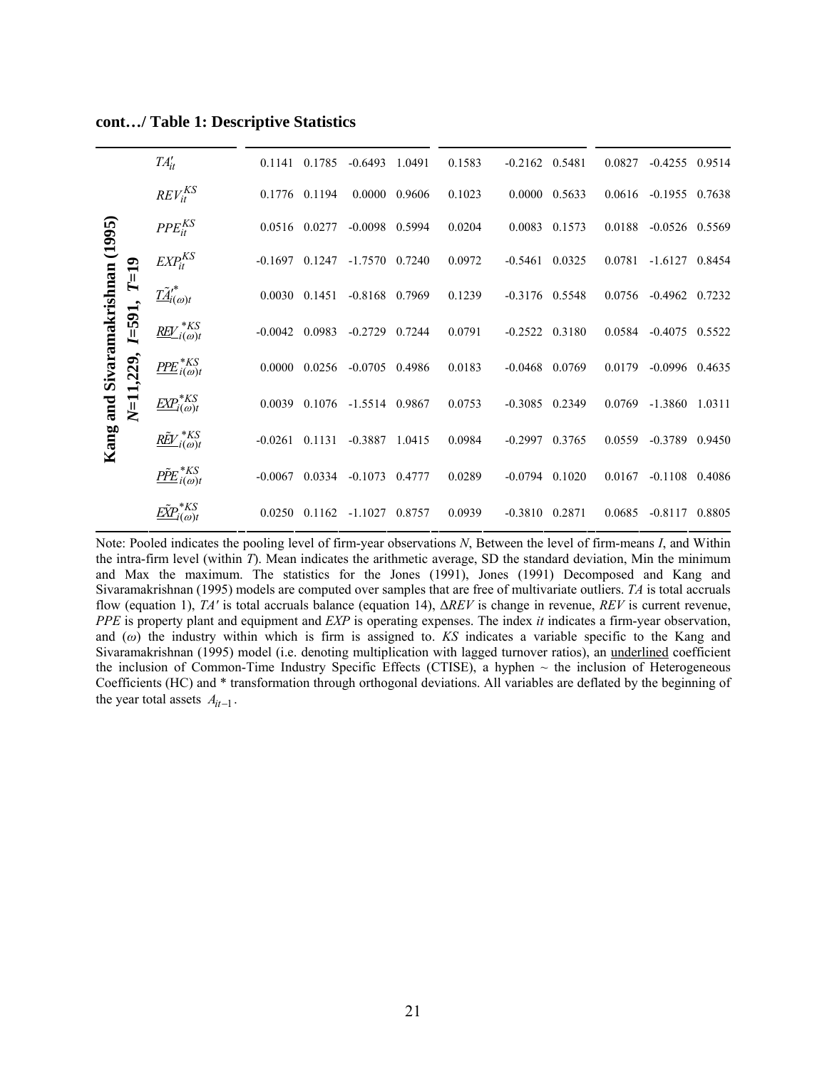|                                                                          |                                              | $TA'_{it}$                                   |                 | 0.1141 0.1785    | $-0.6493$ | 1.0491 | 0.1583                | $-0.2162$ 0.5481   |        | 0.0827           | $-0.4255$ 0.9514 |  |
|--------------------------------------------------------------------------|----------------------------------------------|----------------------------------------------|-----------------|------------------|-----------|--------|-----------------------|--------------------|--------|------------------|------------------|--|
| Sivaramakrishnan (1995)<br>$T=19$<br>I=591,<br>$N = 11,229,$<br>Kang and | $REV_{it}^{KS}$                              | 0.1776 0.1194                                |                 | 0.0000 0.9606    |           | 0.1023 | $0.0000 \quad 0.5633$ |                    | 0.0616 | $-0.1955$ 0.7638 |                  |  |
|                                                                          | $PPE_{it}^{KS}$                              | 0.0516 0.0277                                |                 | $-0.0098$ 0.5994 |           | 0.0204 | 0.0083 0.1573         |                    | 0.0188 | $-0.0526$ 0.5569 |                  |  |
|                                                                          | $EXP_{it}^{KS}$                              | $-0.1697$                                    | 0.1247          | $-1.7570$        | 0.7240    | 0.0972 | $-0.5461$             | 0.0325             | 0.0781 | $-1.6127$        | 0.8454           |  |
|                                                                          | $\tilde{\underline{H}}_{i(\omega)t}^*$       | 0.0030                                       | 0.1451          | $-0.8168$ 0.7969 |           | 0.1239 | $-0.3176$ 0.5548      |                    | 0.0756 | $-0.4962$ 0.7232 |                  |  |
|                                                                          | $\underline{REV}^{*KS}_{i(\omega)t}$         | $-0.0042$                                    | 0.0983          | $-0.2729$        | 0.7244    | 0.0791 | $-0.2522$ $0.3180$    |                    | 0.0584 | $-0.4075$ 0.5522 |                  |  |
|                                                                          | $P\!P\!E_{i(\omega)t}^{*KS}$                 | 0.0000                                       | 0.0256          | $-0.0705$ 0.4986 |           | 0.0183 | $-0.0468$ 0.0769      |                    | 0.0179 | $-0.0996$ 0.4635 |                  |  |
|                                                                          | $\underline{EXP}_{i(\omega)t}^{*KS}$         | 0.0039                                       | 0.1076          | $-1.5514$ 0.9867 |           | 0.0753 | $-0.3085$ 0.2349      |                    | 0.0769 | $-1.3860$        | 1.0311           |  |
|                                                                          | $\underline{R\tilde{E}V}^{*KS}_{i(\omega)t}$ | $-0.0261$                                    | 0.1131          | $-0.3887$        | 1.0415    | 0.0984 | $-0.2997$             | 0.3765             | 0.0559 | $-0.3789$ 0.9450 |                  |  |
|                                                                          | $\underline{P\tilde{P}E}_{i(\omega)t}^{*}$   | $-0.0067$                                    | 0.0334          | $-0.1073$        | 0.4777    | 0.0289 | $-0.0794$ 0.1020      |                    | 0.0167 | $-0.1108$ 0.4086 |                  |  |
|                                                                          |                                              | $\underline{E\tilde{X}}P_{i(\omega)t}^{*KS}$ | $0.0250$ 0.1162 |                  | $-1.1027$ | 0.8757 | 0.0939                | $-0.3810$ $0.2871$ |        | 0.0685           | $-0.8117$ 0.8805 |  |

**cont…/ Table 1: Descriptive Statistics** 

Note: Pooled indicates the pooling level of firm-year observations *N*, Between the level of firm-means *I*, and Within the intra-firm level (within *T*). Mean indicates the arithmetic average, SD the standard deviation, Min the minimum and Max the maximum. The statistics for the Jones (1991), Jones (1991) Decomposed and Kang and Sivaramakrishnan (1995) models are computed over samples that are free of multivariate outliers. *TA* is total accruals flow (equation 1), *TA'* is total accruals balance (equation 14), Δ*REV* is change in revenue, *REV* is current revenue, *PPE* is property plant and equipment and *EXP* is operating expenses. The index *it* indicates a firm-year observation, and (*ω*) the industry within which is firm is assigned to. *KS* indicates a variable specific to the Kang and Sivaramakrishnan (1995) model (i.e. denoting multiplication with lagged turnover ratios), an underlined coefficient the inclusion of Common-Time Industry Specific Effects (CTISE), a hyphen  $\sim$  the inclusion of Heterogeneous Coefficients (HC) and \* transformation through orthogonal deviations. All variables are deflated by the beginning of the year total assets  $A_{it-1}$ .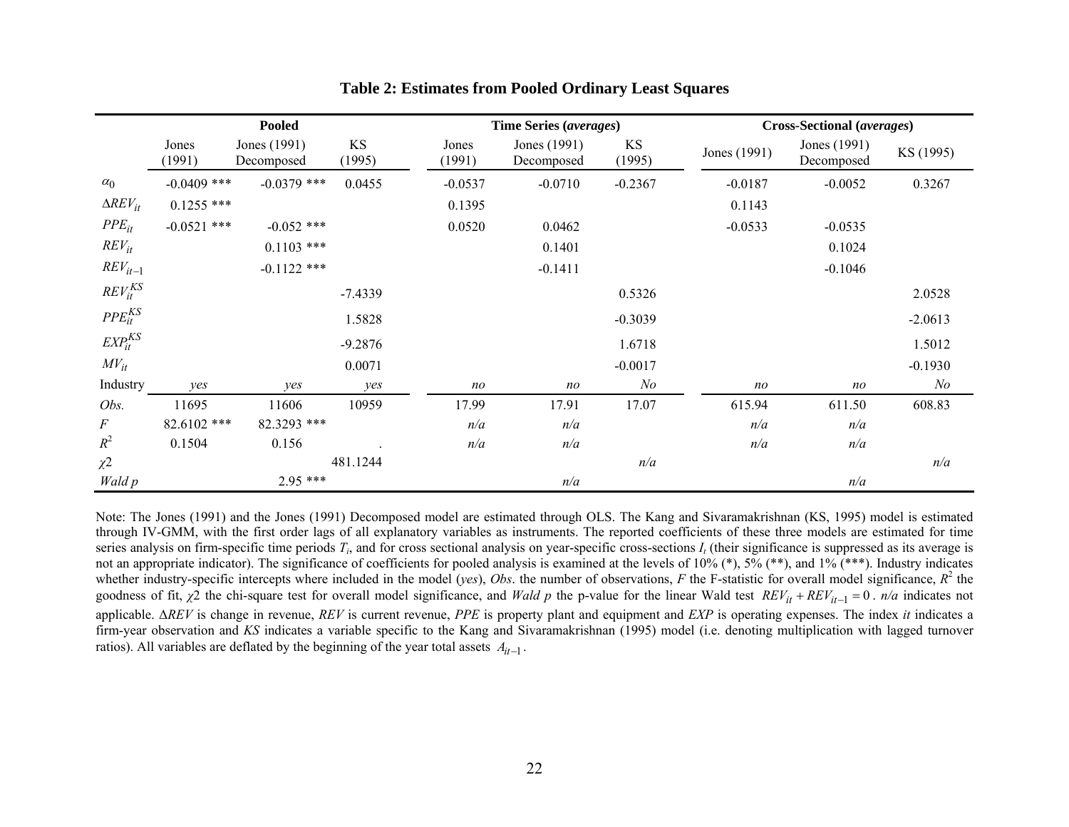|                            |                 | <b>Pooled</b>              |              |                 | Time Series (averages)     |              | Cross-Sectional (averages) |                            |                |  |  |
|----------------------------|-----------------|----------------------------|--------------|-----------------|----------------------------|--------------|----------------------------|----------------------------|----------------|--|--|
|                            | Jones<br>(1991) | Jones (1991)<br>Decomposed | KS<br>(1995) | Jones<br>(1991) | Jones (1991)<br>Decomposed | KS<br>(1995) | Jones (1991)               | Jones (1991)<br>Decomposed | KS (1995)      |  |  |
| $\alpha_0$                 | $-0.0409$ ***   | $-0.0379$ ***              | 0.0455       | $-0.0537$       | $-0.0710$                  | $-0.2367$    | $-0.0187$                  | $-0.0052$                  | 0.3267         |  |  |
| $\Delta$ REV <sub>it</sub> | $0.1255$ ***    |                            |              | 0.1395          |                            |              | 0.1143                     |                            |                |  |  |
| $PPE_{it}$                 | $-0.0521$ ***   | $-0.052$ ***               |              | 0.0520          | 0.0462                     |              | $-0.0533$                  | $-0.0535$                  |                |  |  |
| $REV_{it}$                 |                 | $0.1103$ ***               |              |                 | 0.1401                     |              |                            | 0.1024                     |                |  |  |
| $REV_{it-1}$               |                 | $-0.1122$ ***              |              |                 | $-0.1411$                  |              |                            | $-0.1046$                  |                |  |  |
| $REV_{it}^{KS}$            |                 |                            | $-7.4339$    |                 |                            | 0.5326       |                            |                            | 2.0528         |  |  |
| $PPE_{it}^{KS}$            |                 |                            | 1.5828       |                 |                            | $-0.3039$    |                            |                            | $-2.0613$      |  |  |
| $EXP_{it}^{KS}$            |                 |                            | $-9.2876$    |                 |                            | 1.6718       |                            |                            | 1.5012         |  |  |
| $MV_{it}$                  |                 |                            | 0.0071       |                 |                            | $-0.0017$    |                            |                            | $-0.1930$      |  |  |
| Industry                   | yes             | yes                        | yes          | n <sub>O</sub>  | $n$ o                      | N o          | n <sub>O</sub>             | no                         | N <sub>o</sub> |  |  |
| Obs.                       | 11695           | 11606                      | 10959        | 17.99           | 17.91                      | 17.07        | 615.94                     | 611.50                     | 608.83         |  |  |
| $\cal F$                   | 82.6102 ***     | 82.3293 ***                |              | n/a             | n/a                        |              | n/a                        | n/a                        |                |  |  |
| $R^2$                      | 0.1504          | 0.156                      |              | n/a             | n/a                        |              | n/a                        | n/a                        |                |  |  |
| $\chi^2$                   |                 |                            | 481.1244     |                 |                            | n/a          |                            |                            | n/a            |  |  |
| Wald p                     |                 | $2.95***$                  |              |                 | n/a                        |              |                            | n/a                        |                |  |  |

#### **Table 2: Estimates from Pooled Ordinary Least Squares**

Note: The Jones (1991) and the Jones (1991) Decomposed model are estimated through OLS. The Kang and Sivaramakrishnan (KS, 1995) model is estimated through IV-GMM, with the first order lags of all explanatory variables as instruments. The reported coefficients of these three models are estimated for time series analysis on firm-specific time periods  $T_i$ , and for cross sectional analysis on year-specific cross-sections  $I_i$  (their significance is suppressed as its average is not an appropriate indicator). The significance of coefficients for pooled analysis is examined at the levels of 10% (\*), 5% (\*\*), and 1% (\*\*\*). Industry indicates whether industry-specific intercepts where included in the model (*yes*), *Obs*. the number of observations,  $F$  the F-statistic for overall model significance,  $R^2$  the goodness of fit,  $\chi^2$  the chi-square test for overall model significance, and Wald p the p-value for the linear Wald test  $REV_{it} + REV_{it-1} = 0$ .  $n/a$  indicates not applicable. Δ*REV* is change in revenue, *REV* is current revenue, *PPE* is property plant and equipment and *EXP* is operating expenses. The index *it* indicates a firm-year observation and *KS* indicates a variable specific to the Kang and Sivaramakrishnan (1995) model (i.e. denoting multiplication with lagged turnover ratios). All variables are deflated by the beginning of the year total assets *Ait*−<sup>1</sup> .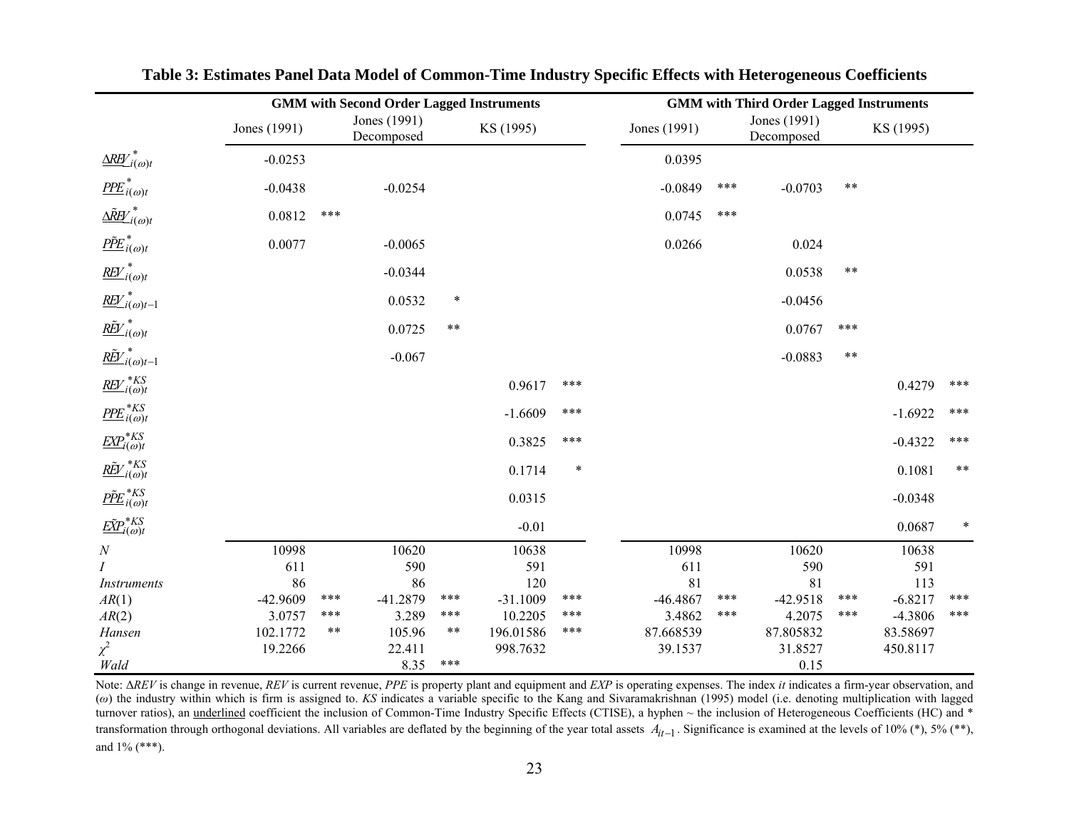|                                                              |              | <b>GMM with Second Order Lagged Instruments</b> |           | <b>GMM with Third Order Lagged Instruments</b> |            |        |              |       |                            |       |           |        |
|--------------------------------------------------------------|--------------|-------------------------------------------------|-----------|------------------------------------------------|------------|--------|--------------|-------|----------------------------|-------|-----------|--------|
|                                                              | Jones (1991) | Jones (1991)<br>Decomposed                      |           |                                                | KS (1995)  |        | Jones (1991) |       | Jones (1991)<br>Decomposed |       | KS (1995) |        |
| $\underline{\Delta R H'}_{i(\omega)t}$                       | $-0.0253$    |                                                 |           |                                                |            |        | 0.0395       |       |                            |       |           |        |
| $P\!P\!E_{i(\omega)t}^*$                                     | $-0.0438$    |                                                 | $-0.0254$ |                                                |            |        | $-0.0849$    | ***   | $-0.0703$                  | $***$ |           |        |
| $\underline{\Delta \tilde{R} \underline{B'}}_{i(\omega)t}^*$ | 0.0812       | $***$                                           |           |                                                |            |        | 0.0745       | $***$ |                            |       |           |        |
| $\underline{P\tilde{P}E}_{i(\omega)t}^*$                     | 0.0077       |                                                 | $-0.0065$ |                                                |            |        | 0.0266       |       | 0.024                      |       |           |        |
| $\mathit{\underline{REV}}^*_{i(\omega)t}$                    |              |                                                 | $-0.0344$ |                                                |            |        |              |       | 0.0538                     | $***$ |           |        |
| $\overline{\text{REV}}^*_{i(\omega)t-1}$                     |              |                                                 | 0.0532    | $\ast$                                         |            |        |              |       | $-0.0456$                  |       |           |        |
| $\underline{R\tilde{E}V}^*_{i(\omega)t}$                     |              |                                                 | 0.0725    | $\ast\ast$                                     |            |        |              |       | 0.0767                     | $***$ |           |        |
| $\underline{\tilde{REV}}^*_{i(\omega)t-1}$                   |              |                                                 | $-0.067$  |                                                |            |        |              |       | $-0.0883$                  | $***$ |           |        |
| $\underline{REV}^{*KS}_{i(\omega)t}$                         |              |                                                 |           |                                                | 0.9617     | ***    |              |       |                            |       | 0.4279    | ***    |
| $P\!P\!E_{i(\omega)t}^{*KS}$                                 |              |                                                 |           |                                                | $-1.6609$  | ***    |              |       |                            |       | $-1.6922$ | $***$  |
| $\underline{EXP}^{*KS}_{i(\omega)t}$                         |              |                                                 |           |                                                | 0.3825     | ***    |              |       |                            |       | $-0.4322$ | $***$  |
| $\underline{R\tilde{E}}V^{*KS}_{i(\omega)t}$                 |              |                                                 |           |                                                | 0.1714     | $\ast$ |              |       |                            |       | 0.1081    | $***$  |
| $\underline{P\tilde{P}E}_{i(\omega)t}^{*KS}$                 |              |                                                 |           |                                                | 0.0315     |        |              |       |                            |       | $-0.0348$ |        |
|                                                              |              |                                                 |           |                                                | $-0.01$    |        |              |       |                            |       | 0.0687    | $\ast$ |
| $\cal N$                                                     | 10998        |                                                 | 10620     |                                                | 10638      |        | 10998        |       | 10620                      |       | 10638     |        |
| I                                                            | 611          |                                                 | 590       |                                                | 591        |        | 611          |       | 590                        |       | 591       |        |
| Instruments                                                  | 86           |                                                 | 86        |                                                | 120        |        | 81           |       | 81                         |       | 113       |        |
| AR(1)                                                        | -42.9609     | ***                                             | -41.2879  | ***                                            | $-31.1009$ | ***    | $-46.4867$   | ***   | $-42.9518$                 | ***   | $-6.8217$ | $***$  |
| AR(2)                                                        | 3.0757       | ***                                             | 3.289     | ***                                            | 10.2205    | ***    | 3.4862       | ***   | 4.2075                     | ***   | $-4.3806$ | $***$  |
| Hansen                                                       | 102.1772     | $***$                                           | 105.96    | $***$                                          | 196.01586  | ***    | 87.668539    |       | 87.805832                  |       | 83.58697  |        |
| $\chi^2$                                                     | 19.2266      |                                                 | 22.411    |                                                | 998.7632   |        | 39.1537      |       | 31.8527                    |       | 450.8117  |        |
| Wald                                                         |              |                                                 | 8.35      | $***$                                          |            |        |              |       | 0.15                       |       |           |        |

**Table 3: Estimates Panel Data Model of Common-Time Industry Specific Effects with Heterogeneous Coefficients** 

Note: Δ*REV* is change in revenue, *REV* is current revenue, *PPE* is property plant and equipment and *EXP* is operating expenses. The index *it* indicates a firm-year observation, and (*ω*) the industry within which is firm is assigned to. *KS* indicates a variable specific to the Kang and Sivaramakrishnan (1995) model (i.e. denoting multiplication with lagged turnover ratios), an *underlined* coefficient the inclusion of Common-Time Industry Specific Effects (CTISE), a hyphen ~ the inclusion of Heterogeneous Coefficients (HC) and \* transformation through orthogonal deviations. All variables are deflated by the beginning of the year total assets  $A_{it-1}$ . Significance is examined at the levels of 10% (\*), 5% (\*\*), and 1% (\*\*\*).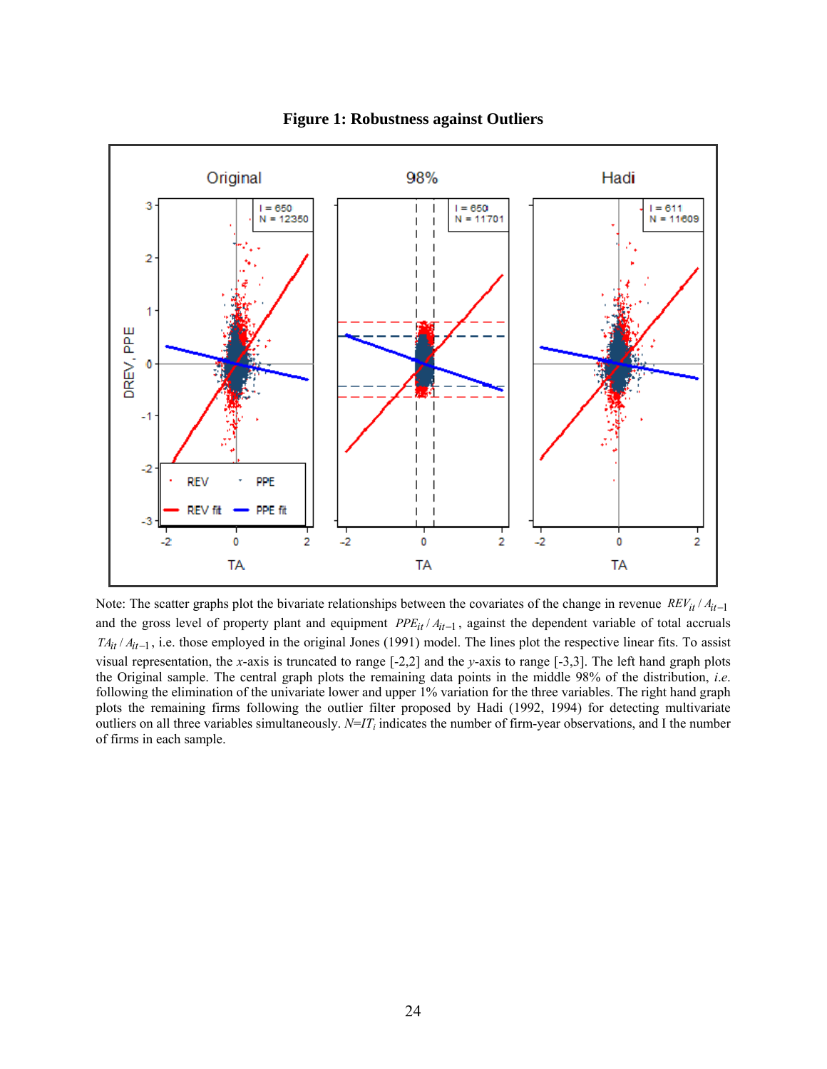

**Figure 1: Robustness against Outliers**

Note: The scatter graphs plot the bivariate relationships between the covariates of the change in revenue REV<sub>it</sub> / A<sub>it-1</sub> and the gross level of property plant and equipment *PPE<sub>it</sub>* /  $A$ <sub>*it*-1</sub>, against the dependent variable of total accruals  $TA_{it}/A_{it-1}$ , i.e. those employed in the original Jones (1991) model. The lines plot the respective linear fits. To assist visual representation, the *x*-axis is truncated to range [-2,2] and the *y*-axis to range [-3,3]. The left hand graph plots the Original sample. The central graph plots the remaining data points in the middle 98% of the distribution, *i*.*e*. following the elimination of the univariate lower and upper 1% variation for the three variables. The right hand graph plots the remaining firms following the outlier filter proposed by Hadi (1992, 1994) for detecting multivariate outliers on all three variables simultaneously. *N*=*IT <sup>i</sup>* indicates the number of firm-year observations, and I the number of firms in each sample.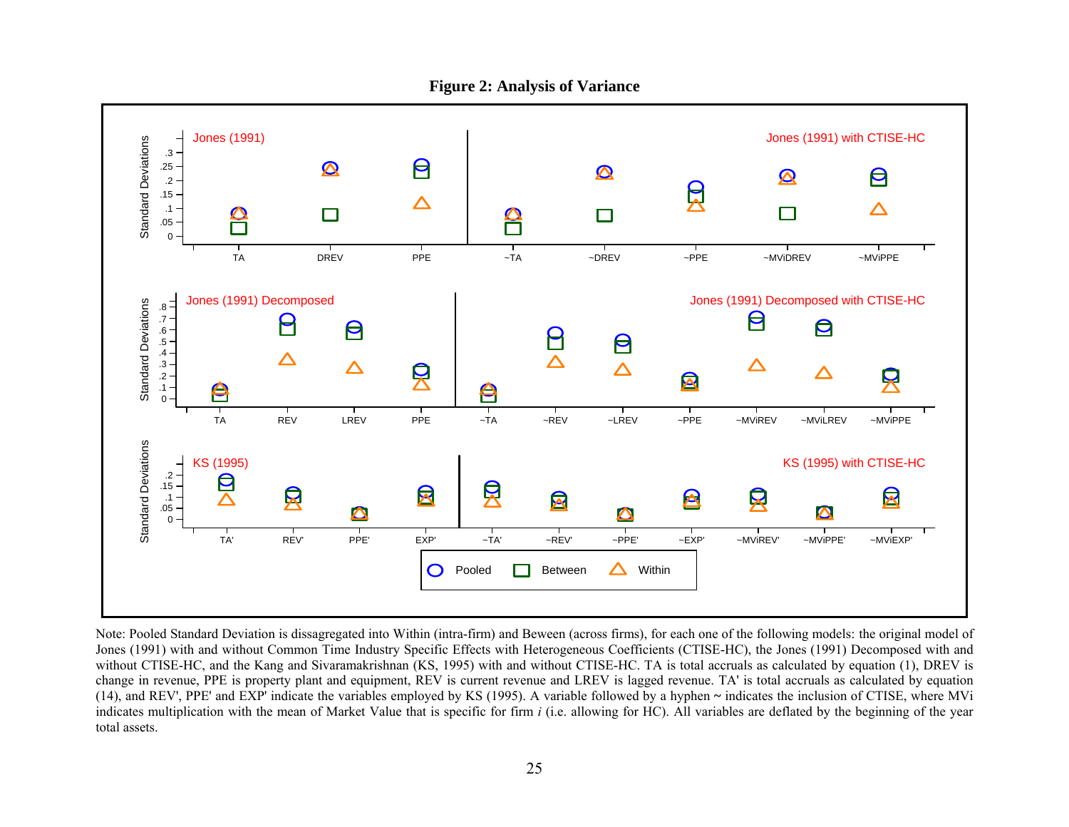

Note: Pooled Standard Deviation is dissagregated into Within (intra-firm) and Beween (across firms), for each one of the following models: the original model of Jones (1991) with and without Common Time Industry Specific Effects with Heterogeneous Coefficients (CTISE-HC), the Jones (1991) Decomposed with and without CTISE-HC, and the Kang and Sivaramakrishnan (KS, 1995) with and without CTISE-HC. TA is total accruals as calculated by equation (1), DREV is change in revenue, PPE is property plant and equipment, REV is current revenue and LREV is lagged revenue. TA' is total accruals as calculated by equation (14), and REV', PPE' and EXP' indicate the variables employed by KS (1995). A variable followed by a hyphen **~** indicates the inclusion of CTISE, where MVi indicates multiplication with the mean of Market Value that is specific for firm *i* (i.e. allowing for HC). All variables are deflated by the beginning of the year total assets.